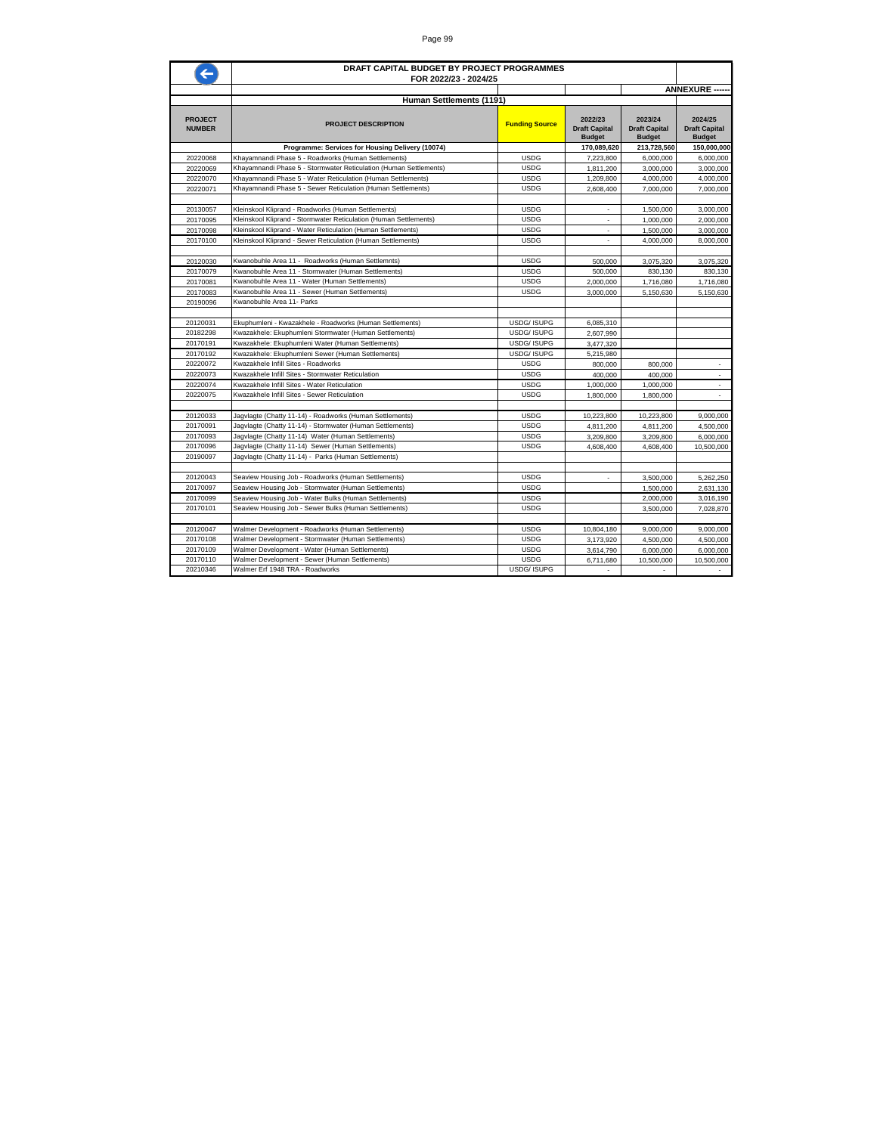|                                 | DRAFT CAPITAL BUDGET BY PROJECT PROGRAMMES<br>FOR 2022/23 - 2024/25                                        |                            |                                                  |                                                  |                                                  |
|---------------------------------|------------------------------------------------------------------------------------------------------------|----------------------------|--------------------------------------------------|--------------------------------------------------|--------------------------------------------------|
|                                 |                                                                                                            |                            |                                                  |                                                  | <b>ANNEXURE ---</b>                              |
|                                 | Human Settlements (1191)                                                                                   |                            |                                                  |                                                  |                                                  |
| <b>PROJECT</b><br><b>NUMBER</b> | <b>PROJECT DESCRIPTION</b>                                                                                 | <b>Funding Source</b>      | 2022/23<br><b>Draft Capital</b><br><b>Budget</b> | 2023/24<br><b>Draft Capital</b><br><b>Budget</b> | 2024/25<br><b>Draft Capital</b><br><b>Budget</b> |
|                                 | Programme: Services for Housing Delivery (10074)                                                           |                            | 170,089,620                                      | 213,728,560                                      | 150,000,000                                      |
| 20220068                        | Khayamnandi Phase 5 - Roadworks (Human Settlements)                                                        | <b>USDG</b>                | 7,223,800                                        | 6.000.000                                        | 6,000,000                                        |
| 20220069                        | Khayamnandi Phase 5 - Stormwater Reticulation (Human Settlements)                                          | <b>USDG</b>                | 1,811,200                                        | 3,000,000                                        | 3,000,000                                        |
| 20220070                        | Khayamnandi Phase 5 - Water Reticulation (Human Settlements)                                               | <b>USDG</b>                | 1,209,800                                        | 4,000,000                                        | 4,000,000                                        |
| 20220071                        | Khayamnandi Phase 5 - Sewer Reticulation (Human Settlements)                                               | <b>USDG</b>                | 2,608,400                                        | 7,000,000                                        | 7,000,000                                        |
|                                 |                                                                                                            |                            |                                                  |                                                  |                                                  |
| 20130057                        | Kleinskool Kliprand - Roadworks (Human Settlements)                                                        | <b>USDG</b>                | $\sim$                                           | 1,500,000                                        | 3,000,000                                        |
| 20170095                        | Kleinskool Kliprand - Stormwater Reticulation (Human Settlements)                                          | <b>USDG</b>                | $\overline{a}$                                   | 1,000,000                                        | 2,000,000                                        |
| 20170098                        | Kleinskool Kliprand - Water Reticulation (Human Settlements)                                               | <b>USDG</b>                | $\sim$                                           | 1,500,000                                        | 3,000,000                                        |
| 20170100                        | Kleinskool Kliprand - Sewer Reticulation (Human Settlements)                                               | <b>USDG</b>                | ÷                                                | 4,000,000                                        | 8,000,000                                        |
| 20120030                        | Kwanobuhle Area 11 - Roadworks (Human Settlemnts)                                                          | <b>USDG</b>                | 500,000                                          | 3,075,320                                        | 3,075,320                                        |
| 20170079                        | Kwanobuhle Area 11 - Stormwater (Human Settlements)                                                        | <b>USDG</b>                | 500,000                                          | 830,130                                          | 830,130                                          |
| 20170081                        | Kwanobuhle Area 11 - Water (Human Settlements)                                                             | <b>USDG</b>                | 2,000,000                                        | 1,716,080                                        | 1,716,080                                        |
| 20170083                        | Kwanobuhle Area 11 - Sewer (Human Settlements)                                                             | <b>USDG</b>                | 3,000,000                                        | 5,150,630                                        | 5,150,630                                        |
| 20190096                        | Kwanobuhle Area 11- Parks                                                                                  |                            |                                                  |                                                  |                                                  |
|                                 |                                                                                                            |                            |                                                  |                                                  |                                                  |
| 20120031                        | Ekuphumleni - Kwazakhele - Roadworks (Human Settlements)                                                   | USDG/ ISUPG                | 6,085,310                                        |                                                  |                                                  |
| 20182298                        | Kwazakhele: Ekuphumleni Stormwater (Human Settlements)                                                     | USDG/ ISUPG                | 2,607,990                                        |                                                  |                                                  |
| 20170191                        | Kwazakhele: Ekuphumleni Water (Human Settlements)                                                          | <b>USDG/ISUPG</b>          | 3,477,320                                        |                                                  |                                                  |
| 20170192                        | Kwazakhele: Ekuphumleni Sewer (Human Settlements)                                                          | USDG/ ISUPG                | 5,215,980                                        |                                                  |                                                  |
| 20220072                        | Kwazakhele Infill Sites - Roadworks                                                                        | <b>USDG</b>                | 800,000                                          | 800,000                                          | ٠                                                |
| 20220073                        | Kwazakhele Infill Sites - Stormwater Reticulation                                                          | <b>USDG</b>                | 400,000                                          | 400,000                                          | $\sim$                                           |
| 20220074                        | Kwazakhele Infill Sites - Water Reticulation                                                               | USDG                       | 1,000,000                                        | 1,000,000                                        | ÷.                                               |
| 20220075                        | Kwazakhele Infill Sites - Sewer Reticulation                                                               | <b>USDG</b>                | 1,800,000                                        | 1,800,000                                        | $\blacksquare$                                   |
|                                 |                                                                                                            |                            |                                                  |                                                  |                                                  |
| 20120033                        | Jagvlagte (Chatty 11-14) - Roadworks (Human Settlements)                                                   | <b>USDG</b>                | 10,223,800                                       | 10,223,800                                       | 9,000,000                                        |
| 20170091                        | Jagvlagte (Chatty 11-14) - Stormwater (Human Settlements)                                                  | <b>USDG</b>                | 4,811,200                                        | 4,811,200                                        | 4,500,000                                        |
| 20170093                        | Jagvlagte (Chatty 11-14) Water (Human Settlements)                                                         | <b>USDG</b><br><b>USDG</b> | 3,209,800                                        | 3,209,800                                        | 6,000,000                                        |
| 20170096<br>20190097            | Jagvlagte (Chatty 11-14) Sewer (Human Settlements)<br>Jagvlagte (Chatty 11-14) - Parks (Human Settlements) |                            | 4,608,400                                        | 4,608,400                                        | 10,500,000                                       |
|                                 |                                                                                                            |                            |                                                  |                                                  |                                                  |
| 20120043                        | Seaview Housing Job - Roadworks (Human Settlements)                                                        | <b>USDG</b>                | ٠                                                | 3,500,000                                        | 5,262,250                                        |
| 20170097                        | Seaview Housing Job - Stormwater (Human Settlements)                                                       | <b>USDG</b>                |                                                  | 1,500,000                                        | 2,631,130                                        |
| 20170099                        | Seaview Housing Job - Water Bulks (Human Settlements)                                                      | <b>USDG</b>                |                                                  | 2,000,000                                        | 3,016,190                                        |
| 20170101                        | Seaview Housing Job - Sewer Bulks (Human Settlements)                                                      | <b>USDG</b>                |                                                  | 3,500,000                                        | 7,028,870                                        |
|                                 |                                                                                                            |                            |                                                  |                                                  |                                                  |
| 20120047                        | Walmer Development - Roadworks (Human Settlements)                                                         | <b>USDG</b>                | 10,804,180                                       | 9.000.000                                        | 9.000.000                                        |
| 20170108                        | Walmer Development - Stormwater (Human Settlements)                                                        | <b>USDG</b>                | 3.173.920                                        | 4.500.000                                        | 4.500.000                                        |
| 20170109                        | Walmer Development - Water (Human Settlements)                                                             | <b>USDG</b>                | 3,614,790                                        | 6,000,000                                        | 6,000,000                                        |
| 20170110                        | Walmer Development - Sewer (Human Settlements)                                                             | <b>USDG</b>                | 6,711,680                                        | 10.500.000                                       | 10,500,000                                       |
| 20210346                        | Walmer Erf 1948 TRA - Roadworks                                                                            | <b>USDG/ISUPG</b>          |                                                  |                                                  |                                                  |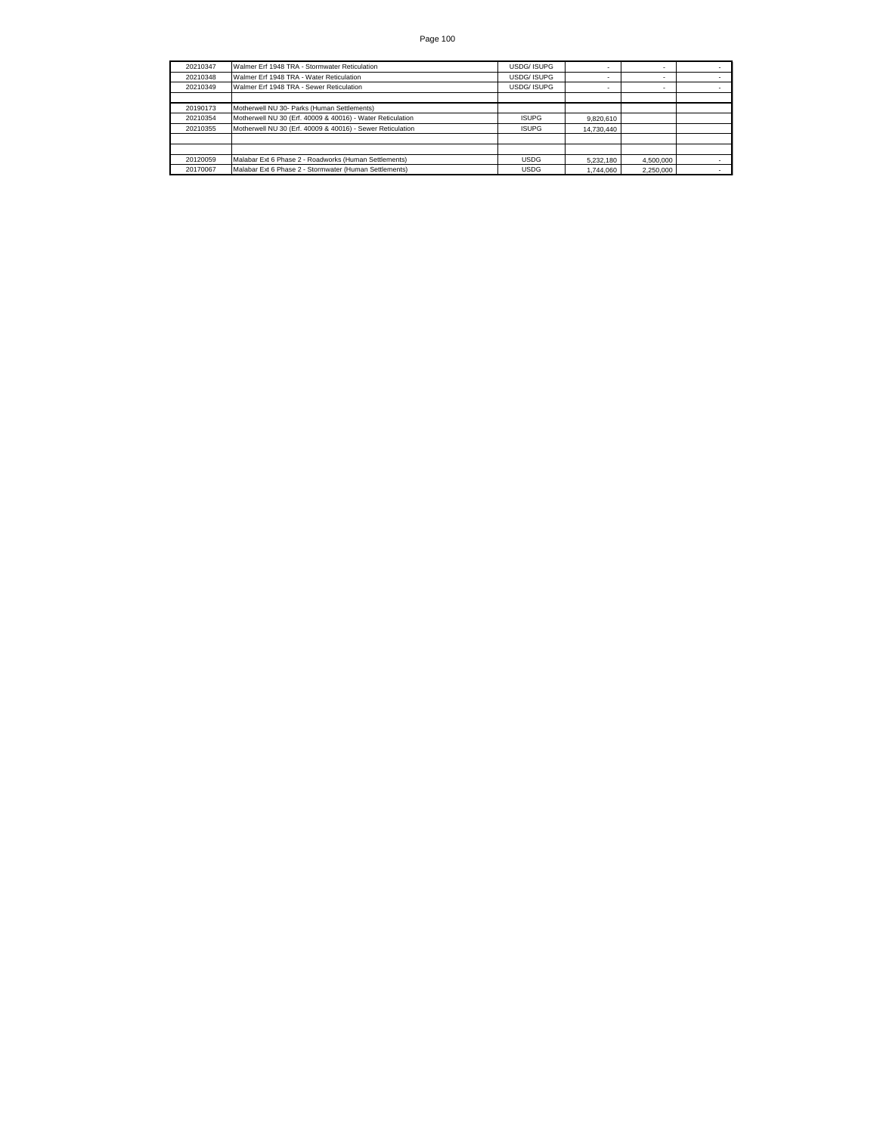| 20210347 | Walmer Erf 1948 TRA - Stormwater Reticulation              | <b>USDG/ISUPG</b> | $\sim$     |           |  |
|----------|------------------------------------------------------------|-------------------|------------|-----------|--|
| 20210348 | Walmer Erf 1948 TRA - Water Reticulation                   | <b>USDG/ISUPG</b> |            |           |  |
| 20210349 | Walmer Erf 1948 TRA - Sewer Reticulation                   | USDG/ ISUPG       | $\sim$     |           |  |
|          |                                                            |                   |            |           |  |
| 20190173 | Motherwell NU 30- Parks (Human Settlements)                |                   |            |           |  |
| 20210354 | Motherwell NU 30 (Erf. 40009 & 40016) - Water Reticulation | <b>ISUPG</b>      | 9.820.610  |           |  |
| 20210355 | Motherwell NU 30 (Erf. 40009 & 40016) - Sewer Reticulation | <b>ISUPG</b>      | 14.730.440 |           |  |
|          |                                                            |                   |            |           |  |
|          |                                                            |                   |            |           |  |
| 20120059 | Malabar Ext 6 Phase 2 - Roadworks (Human Settlements)      | <b>USDG</b>       | 5.232.180  | 4.500.000 |  |
| 20170067 | Malabar Ext 6 Phase 2 - Stormwater (Human Settlements)     | <b>USDG</b>       | 1.744.060  | 2.250.000 |  |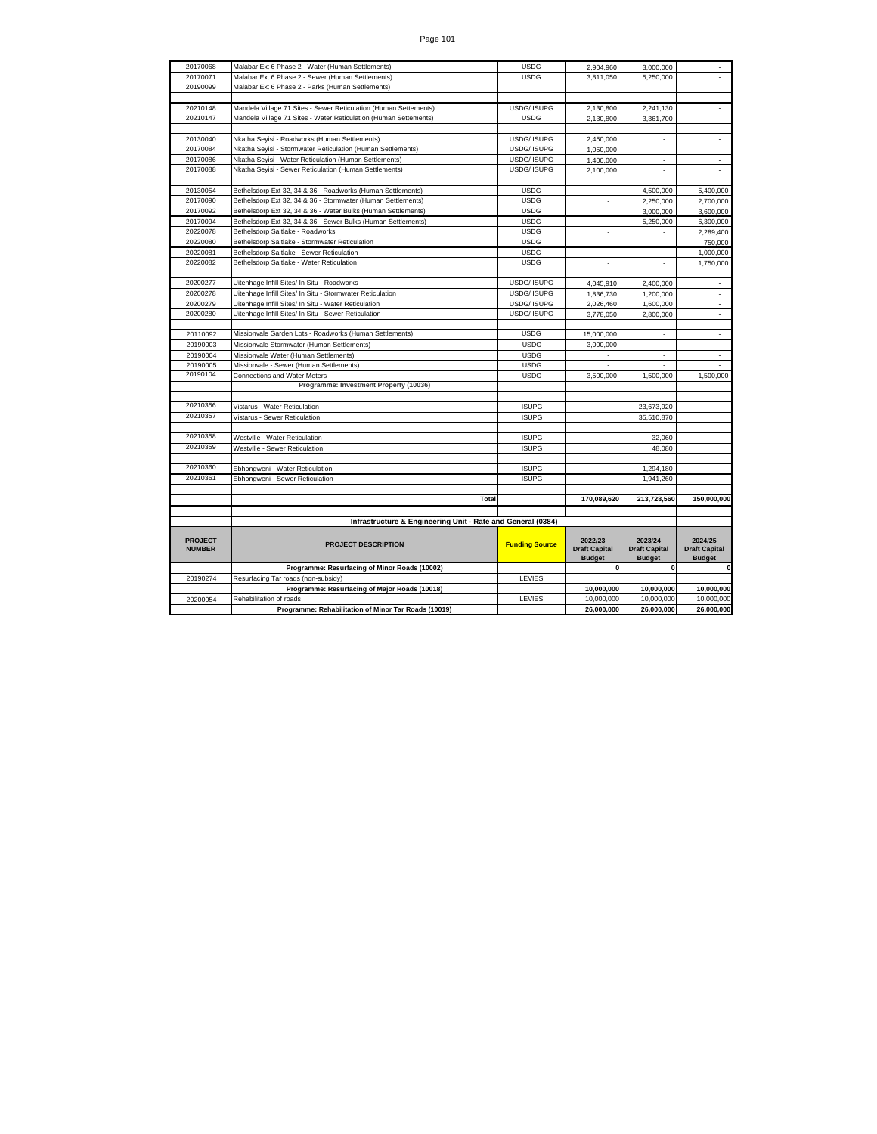| 20170068                        | Malabar Ext 6 Phase 2 - Water (Human Settlements)                | <b>USDG</b>           | 2.904.960                       | 3.000.000                       |                                 |
|---------------------------------|------------------------------------------------------------------|-----------------------|---------------------------------|---------------------------------|---------------------------------|
| 20170071                        | Malabar Ext 6 Phase 2 - Sewer (Human Settlements)                | <b>USDG</b>           | 3,811,050                       | 5,250,000                       |                                 |
| 20190099                        | Malabar Ext 6 Phase 2 - Parks (Human Settlements)                |                       |                                 |                                 |                                 |
|                                 |                                                                  |                       |                                 |                                 |                                 |
| 20210148                        | Mandela Village 71 Sites - Sewer Reticulation (Human Settements) | USDG/ ISUPG           | 2,130,800                       | 2,241,130                       | $\sim$                          |
| 20210147                        | Mandela Village 71 Sites - Water Reticulation (Human Settements) | <b>USDG</b>           | 2.130.800                       | 3.361.700                       |                                 |
|                                 |                                                                  |                       |                                 |                                 |                                 |
| 20130040                        | Nkatha Seyisi - Roadworks (Human Settlements)                    | USDG/ ISUPG           | 2,450,000                       | $\tilde{\phantom{a}}$           |                                 |
| 20170084                        | Nkatha Seyisi - Stormwater Reticulation (Human Settlements)      | USDG/ ISUPG           | 1,050,000                       | $\sim$                          | $\sim$                          |
| 20170086                        | Nkatha Seyisi - Water Reticulation (Human Settlements)           | USDG/ ISUPG           | 1,400,000                       |                                 |                                 |
| 20170088                        | Nkatha Seyisi - Sewer Reticulation (Human Settlements)           | <b>USDG/ISUPG</b>     | 2,100,000                       | $\overline{a}$                  | ä,                              |
|                                 |                                                                  |                       |                                 |                                 |                                 |
| 20130054                        | Bethelsdorp Ext 32, 34 & 36 - Roadworks (Human Settlements)      | <b>USDG</b>           | $\sim$                          | 4,500,000                       | 5,400,000                       |
| 20170090                        | Bethelsdorp Ext 32, 34 & 36 - Stormwater (Human Settlements)     | <b>USDG</b>           | $\sim$                          | 2,250,000                       | 2,700,000                       |
| 20170092                        | Bethelsdorp Ext 32, 34 & 36 - Water Bulks (Human Settlements)    | <b>USDG</b>           |                                 | 3,000,000                       | 3.600.000                       |
| 20170094                        | Bethelsdorp Ext 32, 34 & 36 - Sewer Bulks (Human Settlements)    | <b>USDG</b>           | $\hat{\phantom{a}}$             | 5,250,000                       | 6,300,000                       |
| 20220078                        | Bethelsdorp Saltlake - Roadworks                                 | <b>USDG</b>           | ÷.                              | $\overline{\phantom{a}}$        | 2.289.400                       |
| 20220080                        | Bethelsdorp Saltlake - Stormwater Reticulation                   | <b>USDG</b>           | $\sim$                          | ÷.                              | 750,000                         |
| 20220081                        | Bethelsdorp Saltlake - Sewer Reticulation                        | <b>USDG</b>           |                                 |                                 | 1.000.000                       |
| 20220082                        | Bethelsdorp Saltlake - Water Reticulation                        | <b>USDG</b>           | $\overline{a}$                  | $\overline{a}$                  | 1,750,000                       |
|                                 |                                                                  |                       |                                 |                                 |                                 |
| 20200277                        | Uitenhage Infill Sites/ In Situ - Roadworks                      | USDG/ ISUPG           | 4,045,910                       | 2.400.000                       | $\blacksquare$                  |
| 20200278                        | Uitenhage Infill Sites/ In Situ - Stormwater Reticulation        | <b>USDG/ISUPG</b>     | 1,836,730                       | 1.200.000                       | $\tilde{\phantom{a}}$           |
| 20200279                        | Uitenhage Infill Sites/ In Situ - Water Reticulation             | USDG/ ISUPG           | 2.026.460                       | 1.600.000                       |                                 |
| 20200280                        | Uitenhage Infill Sites/ In Situ - Sewer Reticulation             | USDG/ ISUPG           | 3,778,050                       | 2,800,000                       | $\bar{\phantom{a}}$             |
|                                 |                                                                  |                       |                                 |                                 |                                 |
| 20110092                        | Missionvale Garden Lots - Roadworks (Human Settlements)          | <b>USDG</b>           | 15,000,000                      |                                 | $\overline{\phantom{a}}$        |
| 20190003                        | Missionvale Stormwater (Human Settlements)                       | <b>USDG</b>           | 3,000,000                       |                                 |                                 |
| 20190004                        | Missionvale Water (Human Settlements)                            | <b>USDG</b>           |                                 | ÷,                              | ä,                              |
| 20190005                        | Missionvale - Sewer (Human Settlements)                          | <b>USDG</b>           | $\sim$                          | $\overline{\phantom{a}}$        | $\blacksquare$                  |
| 20190104                        | Connections and Water Meters                                     | <b>USDG</b>           | 3,500,000                       | 1,500,000                       | 1,500,000                       |
|                                 | Programme: Investment Property (10036)                           |                       |                                 |                                 |                                 |
|                                 |                                                                  |                       |                                 |                                 |                                 |
| 20210356                        | Vistarus - Water Reticulation                                    | <b>ISUPG</b>          |                                 | 23,673,920                      |                                 |
| 20210357                        | Vistarus - Sewer Reticulation                                    | <b>ISUPG</b>          |                                 | 35,510,870                      |                                 |
|                                 |                                                                  |                       |                                 |                                 |                                 |
| 20210358                        | Westville - Water Reticulation                                   | <b>ISUPG</b>          |                                 | 32,060                          |                                 |
| 20210359                        | Westville - Sewer Reticulation                                   | <b>ISUPG</b>          |                                 | 48.080                          |                                 |
|                                 |                                                                  |                       |                                 |                                 |                                 |
| 20210360                        | Ebhongweni - Water Reticulation                                  | <b>ISUPG</b>          |                                 | 1,294,180                       |                                 |
| 20210361                        | Ebhongweni - Sewer Reticulation                                  | <b>ISUPG</b>          |                                 | 1,941,260                       |                                 |
|                                 |                                                                  |                       |                                 |                                 |                                 |
|                                 | Total                                                            |                       | 170,089,620                     | 213,728,560                     | 150,000,000                     |
|                                 |                                                                  |                       |                                 |                                 |                                 |
|                                 | Infrastructure & Engineering Unit - Rate and General (0384)      |                       |                                 |                                 |                                 |
| <b>PROJECT</b><br><b>NUMBER</b> | <b>PROJECT DESCRIPTION</b>                                       | <b>Funding Source</b> | 2022/23<br><b>Draft Capital</b> | 2023/24<br><b>Draft Capital</b> | 2024/25<br><b>Draft Capital</b> |
|                                 |                                                                  |                       | <b>Budget</b>                   | <b>Budget</b>                   | <b>Budget</b>                   |
|                                 | Programme: Resurfacing of Minor Roads (10002)                    |                       | $\mathbf 0$                     | $\mathbf 0$                     | $\pmb{0}$                       |
| 20190274                        | Resurfacing Tar roads (non-subsidy)                              | LEVIES                |                                 |                                 |                                 |
|                                 | Programme: Resurfacing of Major Roads (10018)                    |                       | 10,000,000                      | 10,000,000                      | 10,000,000                      |
| 20200054                        | Rehabilitation of roads                                          | LEVIES                | 10,000,000                      | 10,000,000                      | 10,000,000                      |
|                                 | Programme: Rehabilitation of Minor Tar Roads (10019)             |                       | 26,000,000                      | 26,000,000                      | 26,000,000                      |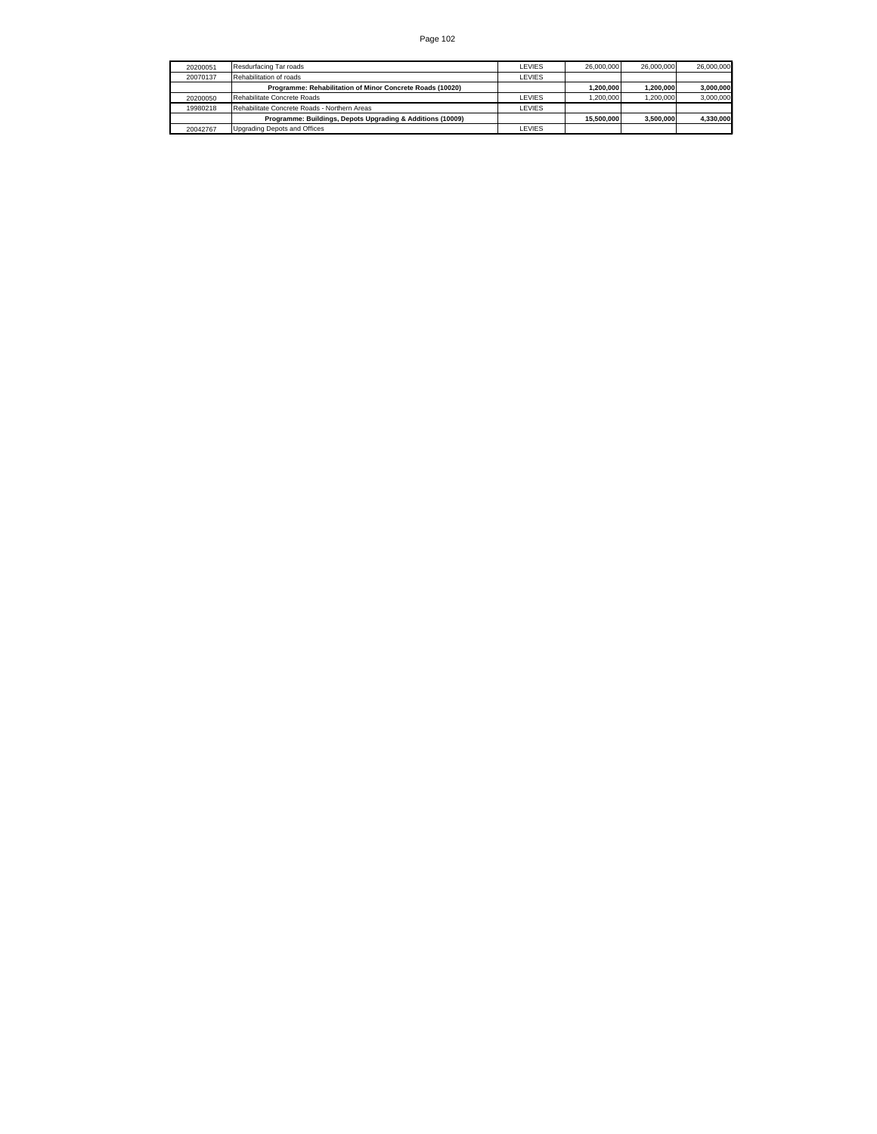| 20200051 | Resdurfacing Tar roads                                     | <b>LEVIES</b> | 26,000,000 | 26,000,000 | 26,000,000 |
|----------|------------------------------------------------------------|---------------|------------|------------|------------|
| 20070137 | Rehabilitation of roads                                    | LEVIES        |            |            |            |
|          | Programme: Rehabilitation of Minor Concrete Roads (10020)  |               | 1.200.000  | 1.200.000  | 3,000,000  |
| 20200050 | Rehabilitate Concrete Roads                                | <b>LEVIES</b> | 1.200.000  | 1.200.000  | 3,000,000  |
| 19980218 | Rehabilitate Concrete Roads - Northern Areas               | <b>LEVIES</b> |            |            |            |
|          | Programme: Buildings, Depots Upgrading & Additions (10009) |               | 15.500.000 | 3.500.000  | 4.330.000  |
| 20042767 | Upgrading Depots and Offices                               | <b>LEVIES</b> |            |            |            |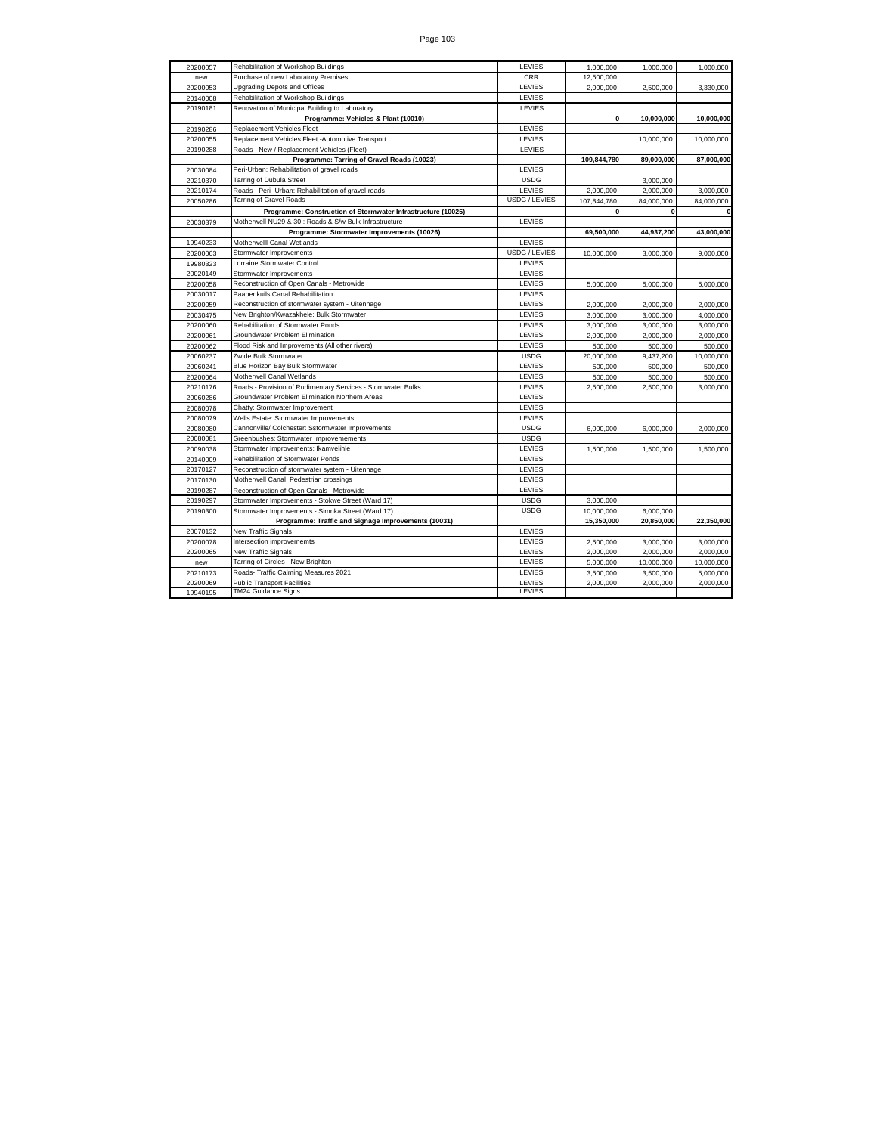| CRR<br>Purchase of new Laboratory Premises<br>12,500,000<br>new<br><b>Upgrading Depots and Offices</b><br>LEVIES<br>2,000,000<br>20200053<br>2,500,000<br>3,330,000<br>Rehabilitation of Workshop Buildings<br>LEVIES<br>20140008<br>20190181<br>Renovation of Municipal Building to Laboratory<br>LEVIES<br>Programme: Vehicles & Plant (10010)<br>$\mathbf 0$<br>10,000,000<br>10,000,000<br>Replacement Vehicles Fleet<br>LEVIES<br>20190286<br>Replacement Vehicles Fleet -Automotive Transport<br>LEVIES<br>20200055<br>10,000,000<br>10,000,000<br>20190288<br>LEVIES<br>Roads - New / Replacement Vehicles (Fleet)<br>Programme: Tarring of Gravel Roads (10023)<br>109,844,780<br>89,000,000<br>87,000,000<br>Peri-Urban: Rehabilitation of gravel roads<br>LEVIES<br>20030084<br><b>Tarring of Dubula Street</b><br><b>USDG</b><br>20210370<br>3,000,000<br>Roads - Peri- Urban: Rehabilitation of gravel roads<br>LEVIES<br>20210174<br>2,000,000<br>2,000,000<br>3,000,000<br><b>Tarring of Gravel Roads</b><br><b>USDG / LEVIES</b><br>20050286<br>107.844.780<br>84,000,000<br>84.000.000<br>$\mathbf{0}$<br>Programme: Construction of Stormwater Infrastructure (10025)<br>$\bf{0}$<br>Motherwell NU29 & 30 : Roads & S/w Bulk Infrastructure<br>LEVIES<br>20030379<br>69,500,000<br>43,000,000<br>Programme: Stormwater Improvements (10026)<br>44,937,200<br>Motherwelll Canal Wetlands<br>LEVIES<br>19940233<br>20200063<br>USDG / LEVIES<br>Stormwater Improvements<br>10,000,000<br>3,000,000<br>9,000,000<br>Lorraine Stormwater Control<br>LEVIES<br>19980323<br>LEVIES<br>20020149<br>Stormwater Improvements<br>LEVIES<br>Reconstruction of Open Canals - Metrowide<br>20200058<br>5.000.000<br>5,000,000<br>5,000,000<br>Paapenkuils Canal Rehabilitation<br>LEVIES<br>20030017<br>Reconstruction of stormwater system - Uitenhage<br>LEVIES<br>20200059<br>2,000,000<br>2.000.000<br>2,000,000<br>LEVIES<br>20030475<br>New Brighton/Kwazakhele: Bulk Stormwater<br>3,000,000<br>4,000,000<br>3,000,000<br>Rehabilitation of Stormwater Ponds<br>LEVIES<br>3,000,000<br>20200060<br>3,000,000<br>3,000,000<br>Groundwater Problem Elimination<br>LEVIES<br>20200061<br>2,000,000<br>2,000,000<br>2,000,000<br>Flood Risk and Improvements (All other rivers)<br>LEVIES<br>20200062<br>500,000<br>500,000<br>500,000<br><b>USDG</b><br>Zwide Bulk Stormwater<br>20,000,000<br>9,437,200<br>10,000,000<br>20060237<br>20060241<br>Blue Horizon Bay Bulk Stormwater<br>LEVIES<br>500,000<br>500,000<br>500,000<br>Motherwell Canal Wetlands<br>LEVIES<br>500,000<br>20200064<br>500,000<br>500,000<br>Roads - Provision of Rudimentary Services - Stormwater Bulks<br>LEVIES<br>20210176<br>2,500,000<br>2,500,000<br>3,000,000<br>LEVIES<br>Groundwater Problem Elimination Northern Areas<br>20060286<br>Chatty: Stormwater Improvement<br>LEVIES<br>20080078<br>Wells Estate: Stormwater Improvements<br>LEVIES<br>20080079<br>Cannonville/ Colchester: Sstormwater Improvements<br><b>USDG</b><br>20080080<br>6,000,000<br>6,000,000<br>2,000,000<br><b>USDG</b><br>20080081<br>Greenbushes: Stormwater Improvemements<br>Stormwater Improvements: Ikamvelihle<br>LEVIES<br>20090038<br>1,500,000<br>1,500,000<br>1,500,000<br>20140009<br>Rehabilitation of Stormwater Ponds<br>LEVIES<br>LEVIES<br>Reconstruction of stormwater system - Uitenhage<br>20170127<br>Motherwell Canal Pedestrian crossings<br>LEVIES<br>20170130<br>LEVIES<br>20190287<br>Reconstruction of Open Canals - Metrowide<br><b>USDG</b><br>20190297<br>Stormwater Improvements - Stokwe Street (Ward 17)<br>3,000,000<br><b>USDG</b><br>20190300<br>Stormwater Improvements - Simnka Street (Ward 17)<br>10,000,000<br>6.000.000<br>Programme: Traffic and Signage Improvements (10031)<br>15,350,000<br>20,850,000<br>22,350,000<br><b>New Traffic Signals</b><br>LEVIES<br>20070132<br>Intersection improvememts<br>LEVIES<br>20200078<br>3,000,000<br>3,000,000<br>2,500,000<br>LEVIES<br>20200065<br><b>New Traffic Signals</b><br>2,000,000<br>2,000,000<br>2,000,000<br>Tarring of Circles - New Brighton<br>LEVIES<br>5,000,000<br>10,000,000<br>10,000,000<br>new<br>Roads- Traffic Calming Measures 2021<br>LEVIES<br>20210173<br>3,500,000<br>3,500,000<br>5,000,000<br><b>Public Transport Facilities</b><br>LEVIES<br>2,000,000<br>20200069<br>2,000,000<br>2,000,000<br><b>TM24 Guidance Signs</b><br><b>LEVIES</b><br>19940195 | 20200057 | Rehabilitation of Workshop Buildings | LEVIES | 1,000,000 | 1,000,000 | 1,000,000 |
|---------------------------------------------------------------------------------------------------------------------------------------------------------------------------------------------------------------------------------------------------------------------------------------------------------------------------------------------------------------------------------------------------------------------------------------------------------------------------------------------------------------------------------------------------------------------------------------------------------------------------------------------------------------------------------------------------------------------------------------------------------------------------------------------------------------------------------------------------------------------------------------------------------------------------------------------------------------------------------------------------------------------------------------------------------------------------------------------------------------------------------------------------------------------------------------------------------------------------------------------------------------------------------------------------------------------------------------------------------------------------------------------------------------------------------------------------------------------------------------------------------------------------------------------------------------------------------------------------------------------------------------------------------------------------------------------------------------------------------------------------------------------------------------------------------------------------------------------------------------------------------------------------------------------------------------------------------------------------------------------------------------------------------------------------------------------------------------------------------------------------------------------------------------------------------------------------------------------------------------------------------------------------------------------------------------------------------------------------------------------------------------------------------------------------------------------------------------------------------------------------------------------------------------------------------------------------------------------------------------------------------------------------------------------------------------------------------------------------------------------------------------------------------------------------------------------------------------------------------------------------------------------------------------------------------------------------------------------------------------------------------------------------------------------------------------------------------------------------------------------------------------------------------------------------------------------------------------------------------------------------------------------------------------------------------------------------------------------------------------------------------------------------------------------------------------------------------------------------------------------------------------------------------------------------------------------------------------------------------------------------------------------------------------------------------------------------------------------------------------------------------------------------------------------------------------------------------------------------------------------------------------------------------------------------------------------------------------------------------------------------------------------------------------------------------------------------------------------------------------------------------------------------------------------------------------------------------------------------------------------------------------------------------------------------------------------------------------------------------------------------------------------------------------------------------------------------|----------|--------------------------------------|--------|-----------|-----------|-----------|
|                                                                                                                                                                                                                                                                                                                                                                                                                                                                                                                                                                                                                                                                                                                                                                                                                                                                                                                                                                                                                                                                                                                                                                                                                                                                                                                                                                                                                                                                                                                                                                                                                                                                                                                                                                                                                                                                                                                                                                                                                                                                                                                                                                                                                                                                                                                                                                                                                                                                                                                                                                                                                                                                                                                                                                                                                                                                                                                                                                                                                                                                                                                                                                                                                                                                                                                                                                                                                                                                                                                                                                                                                                                                                                                                                                                                                                                                                                                                                                                                                                                                                                                                                                                                                                                                                                                                                                                                                                                   |          |                                      |        |           |           |           |
|                                                                                                                                                                                                                                                                                                                                                                                                                                                                                                                                                                                                                                                                                                                                                                                                                                                                                                                                                                                                                                                                                                                                                                                                                                                                                                                                                                                                                                                                                                                                                                                                                                                                                                                                                                                                                                                                                                                                                                                                                                                                                                                                                                                                                                                                                                                                                                                                                                                                                                                                                                                                                                                                                                                                                                                                                                                                                                                                                                                                                                                                                                                                                                                                                                                                                                                                                                                                                                                                                                                                                                                                                                                                                                                                                                                                                                                                                                                                                                                                                                                                                                                                                                                                                                                                                                                                                                                                                                                   |          |                                      |        |           |           |           |
|                                                                                                                                                                                                                                                                                                                                                                                                                                                                                                                                                                                                                                                                                                                                                                                                                                                                                                                                                                                                                                                                                                                                                                                                                                                                                                                                                                                                                                                                                                                                                                                                                                                                                                                                                                                                                                                                                                                                                                                                                                                                                                                                                                                                                                                                                                                                                                                                                                                                                                                                                                                                                                                                                                                                                                                                                                                                                                                                                                                                                                                                                                                                                                                                                                                                                                                                                                                                                                                                                                                                                                                                                                                                                                                                                                                                                                                                                                                                                                                                                                                                                                                                                                                                                                                                                                                                                                                                                                                   |          |                                      |        |           |           |           |
|                                                                                                                                                                                                                                                                                                                                                                                                                                                                                                                                                                                                                                                                                                                                                                                                                                                                                                                                                                                                                                                                                                                                                                                                                                                                                                                                                                                                                                                                                                                                                                                                                                                                                                                                                                                                                                                                                                                                                                                                                                                                                                                                                                                                                                                                                                                                                                                                                                                                                                                                                                                                                                                                                                                                                                                                                                                                                                                                                                                                                                                                                                                                                                                                                                                                                                                                                                                                                                                                                                                                                                                                                                                                                                                                                                                                                                                                                                                                                                                                                                                                                                                                                                                                                                                                                                                                                                                                                                                   |          |                                      |        |           |           |           |
|                                                                                                                                                                                                                                                                                                                                                                                                                                                                                                                                                                                                                                                                                                                                                                                                                                                                                                                                                                                                                                                                                                                                                                                                                                                                                                                                                                                                                                                                                                                                                                                                                                                                                                                                                                                                                                                                                                                                                                                                                                                                                                                                                                                                                                                                                                                                                                                                                                                                                                                                                                                                                                                                                                                                                                                                                                                                                                                                                                                                                                                                                                                                                                                                                                                                                                                                                                                                                                                                                                                                                                                                                                                                                                                                                                                                                                                                                                                                                                                                                                                                                                                                                                                                                                                                                                                                                                                                                                                   |          |                                      |        |           |           |           |
|                                                                                                                                                                                                                                                                                                                                                                                                                                                                                                                                                                                                                                                                                                                                                                                                                                                                                                                                                                                                                                                                                                                                                                                                                                                                                                                                                                                                                                                                                                                                                                                                                                                                                                                                                                                                                                                                                                                                                                                                                                                                                                                                                                                                                                                                                                                                                                                                                                                                                                                                                                                                                                                                                                                                                                                                                                                                                                                                                                                                                                                                                                                                                                                                                                                                                                                                                                                                                                                                                                                                                                                                                                                                                                                                                                                                                                                                                                                                                                                                                                                                                                                                                                                                                                                                                                                                                                                                                                                   |          |                                      |        |           |           |           |
|                                                                                                                                                                                                                                                                                                                                                                                                                                                                                                                                                                                                                                                                                                                                                                                                                                                                                                                                                                                                                                                                                                                                                                                                                                                                                                                                                                                                                                                                                                                                                                                                                                                                                                                                                                                                                                                                                                                                                                                                                                                                                                                                                                                                                                                                                                                                                                                                                                                                                                                                                                                                                                                                                                                                                                                                                                                                                                                                                                                                                                                                                                                                                                                                                                                                                                                                                                                                                                                                                                                                                                                                                                                                                                                                                                                                                                                                                                                                                                                                                                                                                                                                                                                                                                                                                                                                                                                                                                                   |          |                                      |        |           |           |           |
|                                                                                                                                                                                                                                                                                                                                                                                                                                                                                                                                                                                                                                                                                                                                                                                                                                                                                                                                                                                                                                                                                                                                                                                                                                                                                                                                                                                                                                                                                                                                                                                                                                                                                                                                                                                                                                                                                                                                                                                                                                                                                                                                                                                                                                                                                                                                                                                                                                                                                                                                                                                                                                                                                                                                                                                                                                                                                                                                                                                                                                                                                                                                                                                                                                                                                                                                                                                                                                                                                                                                                                                                                                                                                                                                                                                                                                                                                                                                                                                                                                                                                                                                                                                                                                                                                                                                                                                                                                                   |          |                                      |        |           |           |           |
|                                                                                                                                                                                                                                                                                                                                                                                                                                                                                                                                                                                                                                                                                                                                                                                                                                                                                                                                                                                                                                                                                                                                                                                                                                                                                                                                                                                                                                                                                                                                                                                                                                                                                                                                                                                                                                                                                                                                                                                                                                                                                                                                                                                                                                                                                                                                                                                                                                                                                                                                                                                                                                                                                                                                                                                                                                                                                                                                                                                                                                                                                                                                                                                                                                                                                                                                                                                                                                                                                                                                                                                                                                                                                                                                                                                                                                                                                                                                                                                                                                                                                                                                                                                                                                                                                                                                                                                                                                                   |          |                                      |        |           |           |           |
|                                                                                                                                                                                                                                                                                                                                                                                                                                                                                                                                                                                                                                                                                                                                                                                                                                                                                                                                                                                                                                                                                                                                                                                                                                                                                                                                                                                                                                                                                                                                                                                                                                                                                                                                                                                                                                                                                                                                                                                                                                                                                                                                                                                                                                                                                                                                                                                                                                                                                                                                                                                                                                                                                                                                                                                                                                                                                                                                                                                                                                                                                                                                                                                                                                                                                                                                                                                                                                                                                                                                                                                                                                                                                                                                                                                                                                                                                                                                                                                                                                                                                                                                                                                                                                                                                                                                                                                                                                                   |          |                                      |        |           |           |           |
|                                                                                                                                                                                                                                                                                                                                                                                                                                                                                                                                                                                                                                                                                                                                                                                                                                                                                                                                                                                                                                                                                                                                                                                                                                                                                                                                                                                                                                                                                                                                                                                                                                                                                                                                                                                                                                                                                                                                                                                                                                                                                                                                                                                                                                                                                                                                                                                                                                                                                                                                                                                                                                                                                                                                                                                                                                                                                                                                                                                                                                                                                                                                                                                                                                                                                                                                                                                                                                                                                                                                                                                                                                                                                                                                                                                                                                                                                                                                                                                                                                                                                                                                                                                                                                                                                                                                                                                                                                                   |          |                                      |        |           |           |           |
|                                                                                                                                                                                                                                                                                                                                                                                                                                                                                                                                                                                                                                                                                                                                                                                                                                                                                                                                                                                                                                                                                                                                                                                                                                                                                                                                                                                                                                                                                                                                                                                                                                                                                                                                                                                                                                                                                                                                                                                                                                                                                                                                                                                                                                                                                                                                                                                                                                                                                                                                                                                                                                                                                                                                                                                                                                                                                                                                                                                                                                                                                                                                                                                                                                                                                                                                                                                                                                                                                                                                                                                                                                                                                                                                                                                                                                                                                                                                                                                                                                                                                                                                                                                                                                                                                                                                                                                                                                                   |          |                                      |        |           |           |           |
|                                                                                                                                                                                                                                                                                                                                                                                                                                                                                                                                                                                                                                                                                                                                                                                                                                                                                                                                                                                                                                                                                                                                                                                                                                                                                                                                                                                                                                                                                                                                                                                                                                                                                                                                                                                                                                                                                                                                                                                                                                                                                                                                                                                                                                                                                                                                                                                                                                                                                                                                                                                                                                                                                                                                                                                                                                                                                                                                                                                                                                                                                                                                                                                                                                                                                                                                                                                                                                                                                                                                                                                                                                                                                                                                                                                                                                                                                                                                                                                                                                                                                                                                                                                                                                                                                                                                                                                                                                                   |          |                                      |        |           |           |           |
|                                                                                                                                                                                                                                                                                                                                                                                                                                                                                                                                                                                                                                                                                                                                                                                                                                                                                                                                                                                                                                                                                                                                                                                                                                                                                                                                                                                                                                                                                                                                                                                                                                                                                                                                                                                                                                                                                                                                                                                                                                                                                                                                                                                                                                                                                                                                                                                                                                                                                                                                                                                                                                                                                                                                                                                                                                                                                                                                                                                                                                                                                                                                                                                                                                                                                                                                                                                                                                                                                                                                                                                                                                                                                                                                                                                                                                                                                                                                                                                                                                                                                                                                                                                                                                                                                                                                                                                                                                                   |          |                                      |        |           |           |           |
|                                                                                                                                                                                                                                                                                                                                                                                                                                                                                                                                                                                                                                                                                                                                                                                                                                                                                                                                                                                                                                                                                                                                                                                                                                                                                                                                                                                                                                                                                                                                                                                                                                                                                                                                                                                                                                                                                                                                                                                                                                                                                                                                                                                                                                                                                                                                                                                                                                                                                                                                                                                                                                                                                                                                                                                                                                                                                                                                                                                                                                                                                                                                                                                                                                                                                                                                                                                                                                                                                                                                                                                                                                                                                                                                                                                                                                                                                                                                                                                                                                                                                                                                                                                                                                                                                                                                                                                                                                                   |          |                                      |        |           |           |           |
|                                                                                                                                                                                                                                                                                                                                                                                                                                                                                                                                                                                                                                                                                                                                                                                                                                                                                                                                                                                                                                                                                                                                                                                                                                                                                                                                                                                                                                                                                                                                                                                                                                                                                                                                                                                                                                                                                                                                                                                                                                                                                                                                                                                                                                                                                                                                                                                                                                                                                                                                                                                                                                                                                                                                                                                                                                                                                                                                                                                                                                                                                                                                                                                                                                                                                                                                                                                                                                                                                                                                                                                                                                                                                                                                                                                                                                                                                                                                                                                                                                                                                                                                                                                                                                                                                                                                                                                                                                                   |          |                                      |        |           |           |           |
|                                                                                                                                                                                                                                                                                                                                                                                                                                                                                                                                                                                                                                                                                                                                                                                                                                                                                                                                                                                                                                                                                                                                                                                                                                                                                                                                                                                                                                                                                                                                                                                                                                                                                                                                                                                                                                                                                                                                                                                                                                                                                                                                                                                                                                                                                                                                                                                                                                                                                                                                                                                                                                                                                                                                                                                                                                                                                                                                                                                                                                                                                                                                                                                                                                                                                                                                                                                                                                                                                                                                                                                                                                                                                                                                                                                                                                                                                                                                                                                                                                                                                                                                                                                                                                                                                                                                                                                                                                                   |          |                                      |        |           |           |           |
|                                                                                                                                                                                                                                                                                                                                                                                                                                                                                                                                                                                                                                                                                                                                                                                                                                                                                                                                                                                                                                                                                                                                                                                                                                                                                                                                                                                                                                                                                                                                                                                                                                                                                                                                                                                                                                                                                                                                                                                                                                                                                                                                                                                                                                                                                                                                                                                                                                                                                                                                                                                                                                                                                                                                                                                                                                                                                                                                                                                                                                                                                                                                                                                                                                                                                                                                                                                                                                                                                                                                                                                                                                                                                                                                                                                                                                                                                                                                                                                                                                                                                                                                                                                                                                                                                                                                                                                                                                                   |          |                                      |        |           |           |           |
|                                                                                                                                                                                                                                                                                                                                                                                                                                                                                                                                                                                                                                                                                                                                                                                                                                                                                                                                                                                                                                                                                                                                                                                                                                                                                                                                                                                                                                                                                                                                                                                                                                                                                                                                                                                                                                                                                                                                                                                                                                                                                                                                                                                                                                                                                                                                                                                                                                                                                                                                                                                                                                                                                                                                                                                                                                                                                                                                                                                                                                                                                                                                                                                                                                                                                                                                                                                                                                                                                                                                                                                                                                                                                                                                                                                                                                                                                                                                                                                                                                                                                                                                                                                                                                                                                                                                                                                                                                                   |          |                                      |        |           |           |           |
|                                                                                                                                                                                                                                                                                                                                                                                                                                                                                                                                                                                                                                                                                                                                                                                                                                                                                                                                                                                                                                                                                                                                                                                                                                                                                                                                                                                                                                                                                                                                                                                                                                                                                                                                                                                                                                                                                                                                                                                                                                                                                                                                                                                                                                                                                                                                                                                                                                                                                                                                                                                                                                                                                                                                                                                                                                                                                                                                                                                                                                                                                                                                                                                                                                                                                                                                                                                                                                                                                                                                                                                                                                                                                                                                                                                                                                                                                                                                                                                                                                                                                                                                                                                                                                                                                                                                                                                                                                                   |          |                                      |        |           |           |           |
|                                                                                                                                                                                                                                                                                                                                                                                                                                                                                                                                                                                                                                                                                                                                                                                                                                                                                                                                                                                                                                                                                                                                                                                                                                                                                                                                                                                                                                                                                                                                                                                                                                                                                                                                                                                                                                                                                                                                                                                                                                                                                                                                                                                                                                                                                                                                                                                                                                                                                                                                                                                                                                                                                                                                                                                                                                                                                                                                                                                                                                                                                                                                                                                                                                                                                                                                                                                                                                                                                                                                                                                                                                                                                                                                                                                                                                                                                                                                                                                                                                                                                                                                                                                                                                                                                                                                                                                                                                                   |          |                                      |        |           |           |           |
|                                                                                                                                                                                                                                                                                                                                                                                                                                                                                                                                                                                                                                                                                                                                                                                                                                                                                                                                                                                                                                                                                                                                                                                                                                                                                                                                                                                                                                                                                                                                                                                                                                                                                                                                                                                                                                                                                                                                                                                                                                                                                                                                                                                                                                                                                                                                                                                                                                                                                                                                                                                                                                                                                                                                                                                                                                                                                                                                                                                                                                                                                                                                                                                                                                                                                                                                                                                                                                                                                                                                                                                                                                                                                                                                                                                                                                                                                                                                                                                                                                                                                                                                                                                                                                                                                                                                                                                                                                                   |          |                                      |        |           |           |           |
|                                                                                                                                                                                                                                                                                                                                                                                                                                                                                                                                                                                                                                                                                                                                                                                                                                                                                                                                                                                                                                                                                                                                                                                                                                                                                                                                                                                                                                                                                                                                                                                                                                                                                                                                                                                                                                                                                                                                                                                                                                                                                                                                                                                                                                                                                                                                                                                                                                                                                                                                                                                                                                                                                                                                                                                                                                                                                                                                                                                                                                                                                                                                                                                                                                                                                                                                                                                                                                                                                                                                                                                                                                                                                                                                                                                                                                                                                                                                                                                                                                                                                                                                                                                                                                                                                                                                                                                                                                                   |          |                                      |        |           |           |           |
|                                                                                                                                                                                                                                                                                                                                                                                                                                                                                                                                                                                                                                                                                                                                                                                                                                                                                                                                                                                                                                                                                                                                                                                                                                                                                                                                                                                                                                                                                                                                                                                                                                                                                                                                                                                                                                                                                                                                                                                                                                                                                                                                                                                                                                                                                                                                                                                                                                                                                                                                                                                                                                                                                                                                                                                                                                                                                                                                                                                                                                                                                                                                                                                                                                                                                                                                                                                                                                                                                                                                                                                                                                                                                                                                                                                                                                                                                                                                                                                                                                                                                                                                                                                                                                                                                                                                                                                                                                                   |          |                                      |        |           |           |           |
|                                                                                                                                                                                                                                                                                                                                                                                                                                                                                                                                                                                                                                                                                                                                                                                                                                                                                                                                                                                                                                                                                                                                                                                                                                                                                                                                                                                                                                                                                                                                                                                                                                                                                                                                                                                                                                                                                                                                                                                                                                                                                                                                                                                                                                                                                                                                                                                                                                                                                                                                                                                                                                                                                                                                                                                                                                                                                                                                                                                                                                                                                                                                                                                                                                                                                                                                                                                                                                                                                                                                                                                                                                                                                                                                                                                                                                                                                                                                                                                                                                                                                                                                                                                                                                                                                                                                                                                                                                                   |          |                                      |        |           |           |           |
|                                                                                                                                                                                                                                                                                                                                                                                                                                                                                                                                                                                                                                                                                                                                                                                                                                                                                                                                                                                                                                                                                                                                                                                                                                                                                                                                                                                                                                                                                                                                                                                                                                                                                                                                                                                                                                                                                                                                                                                                                                                                                                                                                                                                                                                                                                                                                                                                                                                                                                                                                                                                                                                                                                                                                                                                                                                                                                                                                                                                                                                                                                                                                                                                                                                                                                                                                                                                                                                                                                                                                                                                                                                                                                                                                                                                                                                                                                                                                                                                                                                                                                                                                                                                                                                                                                                                                                                                                                                   |          |                                      |        |           |           |           |
|                                                                                                                                                                                                                                                                                                                                                                                                                                                                                                                                                                                                                                                                                                                                                                                                                                                                                                                                                                                                                                                                                                                                                                                                                                                                                                                                                                                                                                                                                                                                                                                                                                                                                                                                                                                                                                                                                                                                                                                                                                                                                                                                                                                                                                                                                                                                                                                                                                                                                                                                                                                                                                                                                                                                                                                                                                                                                                                                                                                                                                                                                                                                                                                                                                                                                                                                                                                                                                                                                                                                                                                                                                                                                                                                                                                                                                                                                                                                                                                                                                                                                                                                                                                                                                                                                                                                                                                                                                                   |          |                                      |        |           |           |           |
|                                                                                                                                                                                                                                                                                                                                                                                                                                                                                                                                                                                                                                                                                                                                                                                                                                                                                                                                                                                                                                                                                                                                                                                                                                                                                                                                                                                                                                                                                                                                                                                                                                                                                                                                                                                                                                                                                                                                                                                                                                                                                                                                                                                                                                                                                                                                                                                                                                                                                                                                                                                                                                                                                                                                                                                                                                                                                                                                                                                                                                                                                                                                                                                                                                                                                                                                                                                                                                                                                                                                                                                                                                                                                                                                                                                                                                                                                                                                                                                                                                                                                                                                                                                                                                                                                                                                                                                                                                                   |          |                                      |        |           |           |           |
|                                                                                                                                                                                                                                                                                                                                                                                                                                                                                                                                                                                                                                                                                                                                                                                                                                                                                                                                                                                                                                                                                                                                                                                                                                                                                                                                                                                                                                                                                                                                                                                                                                                                                                                                                                                                                                                                                                                                                                                                                                                                                                                                                                                                                                                                                                                                                                                                                                                                                                                                                                                                                                                                                                                                                                                                                                                                                                                                                                                                                                                                                                                                                                                                                                                                                                                                                                                                                                                                                                                                                                                                                                                                                                                                                                                                                                                                                                                                                                                                                                                                                                                                                                                                                                                                                                                                                                                                                                                   |          |                                      |        |           |           |           |
|                                                                                                                                                                                                                                                                                                                                                                                                                                                                                                                                                                                                                                                                                                                                                                                                                                                                                                                                                                                                                                                                                                                                                                                                                                                                                                                                                                                                                                                                                                                                                                                                                                                                                                                                                                                                                                                                                                                                                                                                                                                                                                                                                                                                                                                                                                                                                                                                                                                                                                                                                                                                                                                                                                                                                                                                                                                                                                                                                                                                                                                                                                                                                                                                                                                                                                                                                                                                                                                                                                                                                                                                                                                                                                                                                                                                                                                                                                                                                                                                                                                                                                                                                                                                                                                                                                                                                                                                                                                   |          |                                      |        |           |           |           |
|                                                                                                                                                                                                                                                                                                                                                                                                                                                                                                                                                                                                                                                                                                                                                                                                                                                                                                                                                                                                                                                                                                                                                                                                                                                                                                                                                                                                                                                                                                                                                                                                                                                                                                                                                                                                                                                                                                                                                                                                                                                                                                                                                                                                                                                                                                                                                                                                                                                                                                                                                                                                                                                                                                                                                                                                                                                                                                                                                                                                                                                                                                                                                                                                                                                                                                                                                                                                                                                                                                                                                                                                                                                                                                                                                                                                                                                                                                                                                                                                                                                                                                                                                                                                                                                                                                                                                                                                                                                   |          |                                      |        |           |           |           |
|                                                                                                                                                                                                                                                                                                                                                                                                                                                                                                                                                                                                                                                                                                                                                                                                                                                                                                                                                                                                                                                                                                                                                                                                                                                                                                                                                                                                                                                                                                                                                                                                                                                                                                                                                                                                                                                                                                                                                                                                                                                                                                                                                                                                                                                                                                                                                                                                                                                                                                                                                                                                                                                                                                                                                                                                                                                                                                                                                                                                                                                                                                                                                                                                                                                                                                                                                                                                                                                                                                                                                                                                                                                                                                                                                                                                                                                                                                                                                                                                                                                                                                                                                                                                                                                                                                                                                                                                                                                   |          |                                      |        |           |           |           |
|                                                                                                                                                                                                                                                                                                                                                                                                                                                                                                                                                                                                                                                                                                                                                                                                                                                                                                                                                                                                                                                                                                                                                                                                                                                                                                                                                                                                                                                                                                                                                                                                                                                                                                                                                                                                                                                                                                                                                                                                                                                                                                                                                                                                                                                                                                                                                                                                                                                                                                                                                                                                                                                                                                                                                                                                                                                                                                                                                                                                                                                                                                                                                                                                                                                                                                                                                                                                                                                                                                                                                                                                                                                                                                                                                                                                                                                                                                                                                                                                                                                                                                                                                                                                                                                                                                                                                                                                                                                   |          |                                      |        |           |           |           |
|                                                                                                                                                                                                                                                                                                                                                                                                                                                                                                                                                                                                                                                                                                                                                                                                                                                                                                                                                                                                                                                                                                                                                                                                                                                                                                                                                                                                                                                                                                                                                                                                                                                                                                                                                                                                                                                                                                                                                                                                                                                                                                                                                                                                                                                                                                                                                                                                                                                                                                                                                                                                                                                                                                                                                                                                                                                                                                                                                                                                                                                                                                                                                                                                                                                                                                                                                                                                                                                                                                                                                                                                                                                                                                                                                                                                                                                                                                                                                                                                                                                                                                                                                                                                                                                                                                                                                                                                                                                   |          |                                      |        |           |           |           |
|                                                                                                                                                                                                                                                                                                                                                                                                                                                                                                                                                                                                                                                                                                                                                                                                                                                                                                                                                                                                                                                                                                                                                                                                                                                                                                                                                                                                                                                                                                                                                                                                                                                                                                                                                                                                                                                                                                                                                                                                                                                                                                                                                                                                                                                                                                                                                                                                                                                                                                                                                                                                                                                                                                                                                                                                                                                                                                                                                                                                                                                                                                                                                                                                                                                                                                                                                                                                                                                                                                                                                                                                                                                                                                                                                                                                                                                                                                                                                                                                                                                                                                                                                                                                                                                                                                                                                                                                                                                   |          |                                      |        |           |           |           |
|                                                                                                                                                                                                                                                                                                                                                                                                                                                                                                                                                                                                                                                                                                                                                                                                                                                                                                                                                                                                                                                                                                                                                                                                                                                                                                                                                                                                                                                                                                                                                                                                                                                                                                                                                                                                                                                                                                                                                                                                                                                                                                                                                                                                                                                                                                                                                                                                                                                                                                                                                                                                                                                                                                                                                                                                                                                                                                                                                                                                                                                                                                                                                                                                                                                                                                                                                                                                                                                                                                                                                                                                                                                                                                                                                                                                                                                                                                                                                                                                                                                                                                                                                                                                                                                                                                                                                                                                                                                   |          |                                      |        |           |           |           |
|                                                                                                                                                                                                                                                                                                                                                                                                                                                                                                                                                                                                                                                                                                                                                                                                                                                                                                                                                                                                                                                                                                                                                                                                                                                                                                                                                                                                                                                                                                                                                                                                                                                                                                                                                                                                                                                                                                                                                                                                                                                                                                                                                                                                                                                                                                                                                                                                                                                                                                                                                                                                                                                                                                                                                                                                                                                                                                                                                                                                                                                                                                                                                                                                                                                                                                                                                                                                                                                                                                                                                                                                                                                                                                                                                                                                                                                                                                                                                                                                                                                                                                                                                                                                                                                                                                                                                                                                                                                   |          |                                      |        |           |           |           |
|                                                                                                                                                                                                                                                                                                                                                                                                                                                                                                                                                                                                                                                                                                                                                                                                                                                                                                                                                                                                                                                                                                                                                                                                                                                                                                                                                                                                                                                                                                                                                                                                                                                                                                                                                                                                                                                                                                                                                                                                                                                                                                                                                                                                                                                                                                                                                                                                                                                                                                                                                                                                                                                                                                                                                                                                                                                                                                                                                                                                                                                                                                                                                                                                                                                                                                                                                                                                                                                                                                                                                                                                                                                                                                                                                                                                                                                                                                                                                                                                                                                                                                                                                                                                                                                                                                                                                                                                                                                   |          |                                      |        |           |           |           |
|                                                                                                                                                                                                                                                                                                                                                                                                                                                                                                                                                                                                                                                                                                                                                                                                                                                                                                                                                                                                                                                                                                                                                                                                                                                                                                                                                                                                                                                                                                                                                                                                                                                                                                                                                                                                                                                                                                                                                                                                                                                                                                                                                                                                                                                                                                                                                                                                                                                                                                                                                                                                                                                                                                                                                                                                                                                                                                                                                                                                                                                                                                                                                                                                                                                                                                                                                                                                                                                                                                                                                                                                                                                                                                                                                                                                                                                                                                                                                                                                                                                                                                                                                                                                                                                                                                                                                                                                                                                   |          |                                      |        |           |           |           |
|                                                                                                                                                                                                                                                                                                                                                                                                                                                                                                                                                                                                                                                                                                                                                                                                                                                                                                                                                                                                                                                                                                                                                                                                                                                                                                                                                                                                                                                                                                                                                                                                                                                                                                                                                                                                                                                                                                                                                                                                                                                                                                                                                                                                                                                                                                                                                                                                                                                                                                                                                                                                                                                                                                                                                                                                                                                                                                                                                                                                                                                                                                                                                                                                                                                                                                                                                                                                                                                                                                                                                                                                                                                                                                                                                                                                                                                                                                                                                                                                                                                                                                                                                                                                                                                                                                                                                                                                                                                   |          |                                      |        |           |           |           |
|                                                                                                                                                                                                                                                                                                                                                                                                                                                                                                                                                                                                                                                                                                                                                                                                                                                                                                                                                                                                                                                                                                                                                                                                                                                                                                                                                                                                                                                                                                                                                                                                                                                                                                                                                                                                                                                                                                                                                                                                                                                                                                                                                                                                                                                                                                                                                                                                                                                                                                                                                                                                                                                                                                                                                                                                                                                                                                                                                                                                                                                                                                                                                                                                                                                                                                                                                                                                                                                                                                                                                                                                                                                                                                                                                                                                                                                                                                                                                                                                                                                                                                                                                                                                                                                                                                                                                                                                                                                   |          |                                      |        |           |           |           |
|                                                                                                                                                                                                                                                                                                                                                                                                                                                                                                                                                                                                                                                                                                                                                                                                                                                                                                                                                                                                                                                                                                                                                                                                                                                                                                                                                                                                                                                                                                                                                                                                                                                                                                                                                                                                                                                                                                                                                                                                                                                                                                                                                                                                                                                                                                                                                                                                                                                                                                                                                                                                                                                                                                                                                                                                                                                                                                                                                                                                                                                                                                                                                                                                                                                                                                                                                                                                                                                                                                                                                                                                                                                                                                                                                                                                                                                                                                                                                                                                                                                                                                                                                                                                                                                                                                                                                                                                                                                   |          |                                      |        |           |           |           |
|                                                                                                                                                                                                                                                                                                                                                                                                                                                                                                                                                                                                                                                                                                                                                                                                                                                                                                                                                                                                                                                                                                                                                                                                                                                                                                                                                                                                                                                                                                                                                                                                                                                                                                                                                                                                                                                                                                                                                                                                                                                                                                                                                                                                                                                                                                                                                                                                                                                                                                                                                                                                                                                                                                                                                                                                                                                                                                                                                                                                                                                                                                                                                                                                                                                                                                                                                                                                                                                                                                                                                                                                                                                                                                                                                                                                                                                                                                                                                                                                                                                                                                                                                                                                                                                                                                                                                                                                                                                   |          |                                      |        |           |           |           |
|                                                                                                                                                                                                                                                                                                                                                                                                                                                                                                                                                                                                                                                                                                                                                                                                                                                                                                                                                                                                                                                                                                                                                                                                                                                                                                                                                                                                                                                                                                                                                                                                                                                                                                                                                                                                                                                                                                                                                                                                                                                                                                                                                                                                                                                                                                                                                                                                                                                                                                                                                                                                                                                                                                                                                                                                                                                                                                                                                                                                                                                                                                                                                                                                                                                                                                                                                                                                                                                                                                                                                                                                                                                                                                                                                                                                                                                                                                                                                                                                                                                                                                                                                                                                                                                                                                                                                                                                                                                   |          |                                      |        |           |           |           |
|                                                                                                                                                                                                                                                                                                                                                                                                                                                                                                                                                                                                                                                                                                                                                                                                                                                                                                                                                                                                                                                                                                                                                                                                                                                                                                                                                                                                                                                                                                                                                                                                                                                                                                                                                                                                                                                                                                                                                                                                                                                                                                                                                                                                                                                                                                                                                                                                                                                                                                                                                                                                                                                                                                                                                                                                                                                                                                                                                                                                                                                                                                                                                                                                                                                                                                                                                                                                                                                                                                                                                                                                                                                                                                                                                                                                                                                                                                                                                                                                                                                                                                                                                                                                                                                                                                                                                                                                                                                   |          |                                      |        |           |           |           |
|                                                                                                                                                                                                                                                                                                                                                                                                                                                                                                                                                                                                                                                                                                                                                                                                                                                                                                                                                                                                                                                                                                                                                                                                                                                                                                                                                                                                                                                                                                                                                                                                                                                                                                                                                                                                                                                                                                                                                                                                                                                                                                                                                                                                                                                                                                                                                                                                                                                                                                                                                                                                                                                                                                                                                                                                                                                                                                                                                                                                                                                                                                                                                                                                                                                                                                                                                                                                                                                                                                                                                                                                                                                                                                                                                                                                                                                                                                                                                                                                                                                                                                                                                                                                                                                                                                                                                                                                                                                   |          |                                      |        |           |           |           |
|                                                                                                                                                                                                                                                                                                                                                                                                                                                                                                                                                                                                                                                                                                                                                                                                                                                                                                                                                                                                                                                                                                                                                                                                                                                                                                                                                                                                                                                                                                                                                                                                                                                                                                                                                                                                                                                                                                                                                                                                                                                                                                                                                                                                                                                                                                                                                                                                                                                                                                                                                                                                                                                                                                                                                                                                                                                                                                                                                                                                                                                                                                                                                                                                                                                                                                                                                                                                                                                                                                                                                                                                                                                                                                                                                                                                                                                                                                                                                                                                                                                                                                                                                                                                                                                                                                                                                                                                                                                   |          |                                      |        |           |           |           |
|                                                                                                                                                                                                                                                                                                                                                                                                                                                                                                                                                                                                                                                                                                                                                                                                                                                                                                                                                                                                                                                                                                                                                                                                                                                                                                                                                                                                                                                                                                                                                                                                                                                                                                                                                                                                                                                                                                                                                                                                                                                                                                                                                                                                                                                                                                                                                                                                                                                                                                                                                                                                                                                                                                                                                                                                                                                                                                                                                                                                                                                                                                                                                                                                                                                                                                                                                                                                                                                                                                                                                                                                                                                                                                                                                                                                                                                                                                                                                                                                                                                                                                                                                                                                                                                                                                                                                                                                                                                   |          |                                      |        |           |           |           |
|                                                                                                                                                                                                                                                                                                                                                                                                                                                                                                                                                                                                                                                                                                                                                                                                                                                                                                                                                                                                                                                                                                                                                                                                                                                                                                                                                                                                                                                                                                                                                                                                                                                                                                                                                                                                                                                                                                                                                                                                                                                                                                                                                                                                                                                                                                                                                                                                                                                                                                                                                                                                                                                                                                                                                                                                                                                                                                                                                                                                                                                                                                                                                                                                                                                                                                                                                                                                                                                                                                                                                                                                                                                                                                                                                                                                                                                                                                                                                                                                                                                                                                                                                                                                                                                                                                                                                                                                                                                   |          |                                      |        |           |           |           |
|                                                                                                                                                                                                                                                                                                                                                                                                                                                                                                                                                                                                                                                                                                                                                                                                                                                                                                                                                                                                                                                                                                                                                                                                                                                                                                                                                                                                                                                                                                                                                                                                                                                                                                                                                                                                                                                                                                                                                                                                                                                                                                                                                                                                                                                                                                                                                                                                                                                                                                                                                                                                                                                                                                                                                                                                                                                                                                                                                                                                                                                                                                                                                                                                                                                                                                                                                                                                                                                                                                                                                                                                                                                                                                                                                                                                                                                                                                                                                                                                                                                                                                                                                                                                                                                                                                                                                                                                                                                   |          |                                      |        |           |           |           |
|                                                                                                                                                                                                                                                                                                                                                                                                                                                                                                                                                                                                                                                                                                                                                                                                                                                                                                                                                                                                                                                                                                                                                                                                                                                                                                                                                                                                                                                                                                                                                                                                                                                                                                                                                                                                                                                                                                                                                                                                                                                                                                                                                                                                                                                                                                                                                                                                                                                                                                                                                                                                                                                                                                                                                                                                                                                                                                                                                                                                                                                                                                                                                                                                                                                                                                                                                                                                                                                                                                                                                                                                                                                                                                                                                                                                                                                                                                                                                                                                                                                                                                                                                                                                                                                                                                                                                                                                                                                   |          |                                      |        |           |           |           |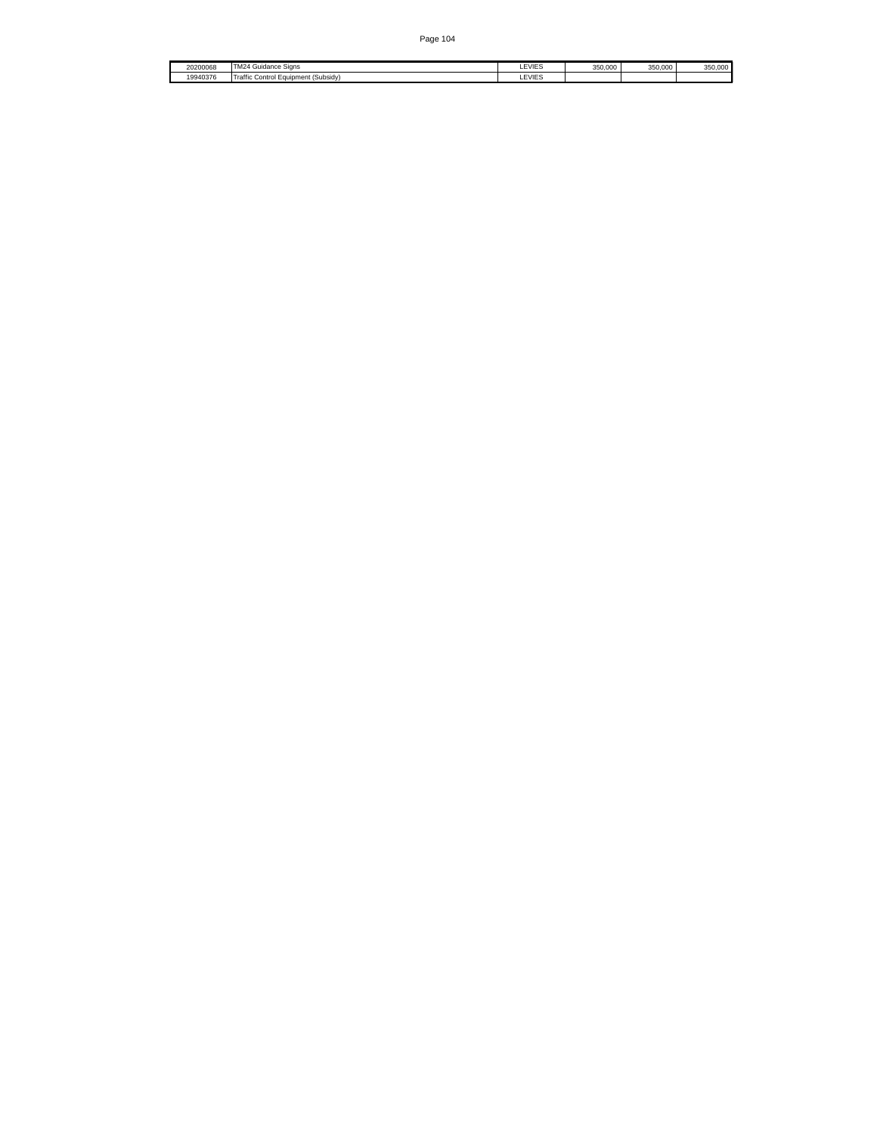| 20200068 | '4 Guidance Signs<br>$\cdots$<br>. IM24 ° | LEVIES        | 350,000 | 350.000 | 350,000 |
|----------|-------------------------------------------|---------------|---------|---------|---------|
| 19940376 | raffic<br>Control Equipment (Subsidy)     | <b>LEVIES</b> |         |         |         |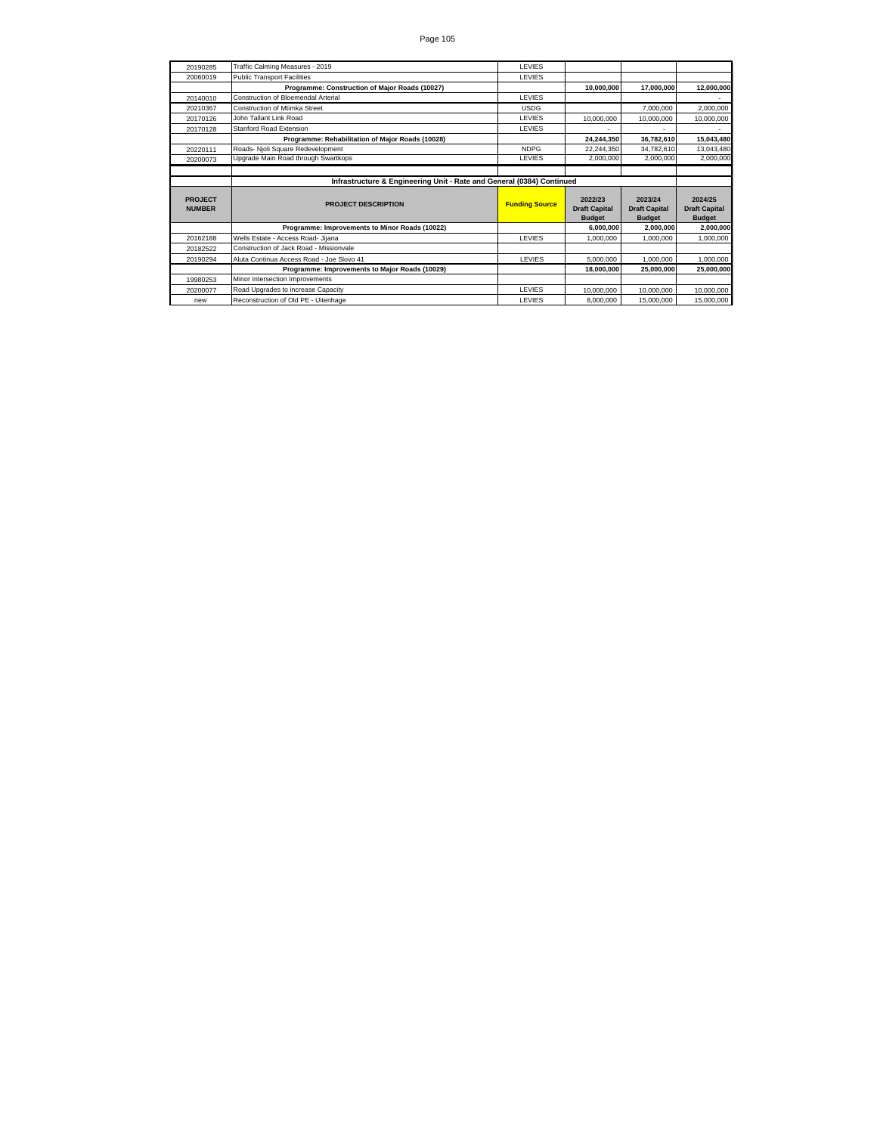| 20190285                        | Traffic Calming Measures - 2019                                       | <b>LEVIES</b>         |                                                  |                                                  |                                                  |  |
|---------------------------------|-----------------------------------------------------------------------|-----------------------|--------------------------------------------------|--------------------------------------------------|--------------------------------------------------|--|
| 20060019                        | <b>Public Transport Facilities</b>                                    | <b>LEVIES</b>         |                                                  |                                                  |                                                  |  |
|                                 | Programme: Construction of Major Roads (10027)                        |                       | 10,000,000                                       | 17.000.000                                       | 12,000,000                                       |  |
| 20140010                        | Construction of Bloemendal Arterial                                   | <b>LEVIES</b>         |                                                  |                                                  |                                                  |  |
| 20210367                        | Construction of Mtimka Street                                         | <b>USDG</b>           |                                                  | 7.000.000                                        | 2,000,000                                        |  |
| 20170126                        | John Tallant Link Road                                                | <b>LEVIES</b>         | 10,000,000                                       | 10.000.000                                       | 10,000,000                                       |  |
| 20170128                        | <b>Stanford Road Extension</b>                                        | LEVIES                |                                                  |                                                  |                                                  |  |
|                                 | Programme: Rehabilitation of Major Roads (10028)                      |                       | 24,244,350                                       | 36,782,610                                       | 15,043,480                                       |  |
| 20220111                        | Roads- Njoli Square Redevelopment                                     | <b>NDPG</b>           | 22.244.350                                       | 34,782,610                                       | 13,043,480                                       |  |
| 20200073                        | Upgrade Main Road through Swartkops                                   | LEVIES                | 2,000,000                                        | 2,000,000                                        | 2,000,000                                        |  |
|                                 |                                                                       |                       |                                                  |                                                  |                                                  |  |
|                                 | Infrastructure & Engineering Unit - Rate and General (0384) Continued |                       |                                                  |                                                  |                                                  |  |
|                                 |                                                                       |                       |                                                  |                                                  |                                                  |  |
| <b>PROJECT</b><br><b>NUMBER</b> | <b>PROJECT DESCRIPTION</b>                                            | <b>Funding Source</b> | 2022/23<br><b>Draft Capital</b><br><b>Budget</b> | 2023/24<br><b>Draft Capital</b><br><b>Budget</b> | 2024/25<br><b>Draft Capital</b><br><b>Budget</b> |  |
|                                 | Programme: Improvements to Minor Roads (10022)                        |                       | 6.000.000                                        | 2.000.000                                        | 2,000,000                                        |  |
| 20162188                        | Wells Estate - Access Road- Jijana                                    | <b>LEVIES</b>         | 1.000.000                                        | 1.000.000                                        | 1.000.000                                        |  |
| 20182522                        | Construction of Jack Road - Missionvale                               |                       |                                                  |                                                  |                                                  |  |
| 20190294                        | Aluta Continua Access Road - Joe Slovo 41                             | LEVIES                | 5,000,000                                        | 1,000,000                                        | 1,000,000                                        |  |
|                                 | Programme: Improvements to Major Roads (10029)                        |                       | 18.000.000                                       | 25.000.000                                       | 25,000,000                                       |  |
| 19980253                        | Minor Intersection Improvements                                       |                       |                                                  |                                                  |                                                  |  |
| 20200077                        | Road Upgrades to increase Capacity                                    | LEVIES                | 10.000.000                                       | 10.000.000                                       | 10,000,000                                       |  |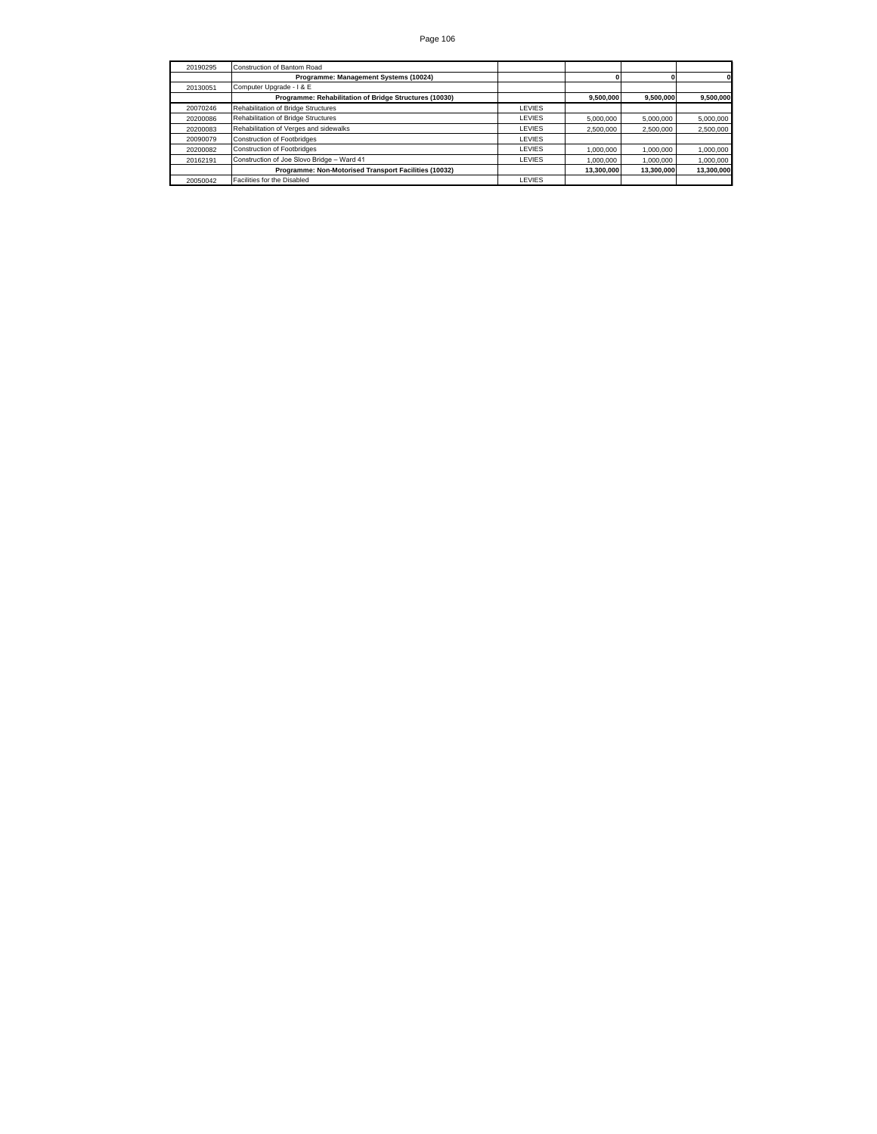| 20190295 | Construction of Bantom Road                            |               |            |            |            |
|----------|--------------------------------------------------------|---------------|------------|------------|------------|
|          | Programme: Management Systems (10024)                  |               |            |            |            |
| 20130051 | Computer Upgrade - I & E                               |               |            |            |            |
|          | Programme: Rehabilitation of Bridge Structures (10030) |               | 9.500.000  | 9.500.000  | 9,500,000  |
| 20070246 | Rehabilitation of Bridge Structures                    | <b>LEVIES</b> |            |            |            |
| 20200086 | Rehabilitation of Bridge Structures                    | <b>LEVIES</b> | 5,000,000  | 5.000.000  | 5,000,000  |
| 20200083 | Rehabilitation of Verges and sidewalks                 | <b>LEVIES</b> | 2.500.000  | 2.500.000  | 2,500,000  |
| 20090079 | Construction of Footbridges                            | <b>LEVIES</b> |            |            |            |
| 20200082 | Construction of Footbridges                            | <b>LEVIES</b> | 1.000.000  | 1.000.000  | 1,000,000  |
| 20162191 | Construction of Joe Slovo Bridge - Ward 41             | <b>LEVIES</b> | 1.000.000  | 1.000.000  | 1,000,000  |
|          | Programme: Non-Motorised Transport Facilities (10032)  |               | 13.300.000 | 13.300.000 | 13.300.000 |
| 20050042 | Facilities for the Disabled                            | LEVIES        |            |            |            |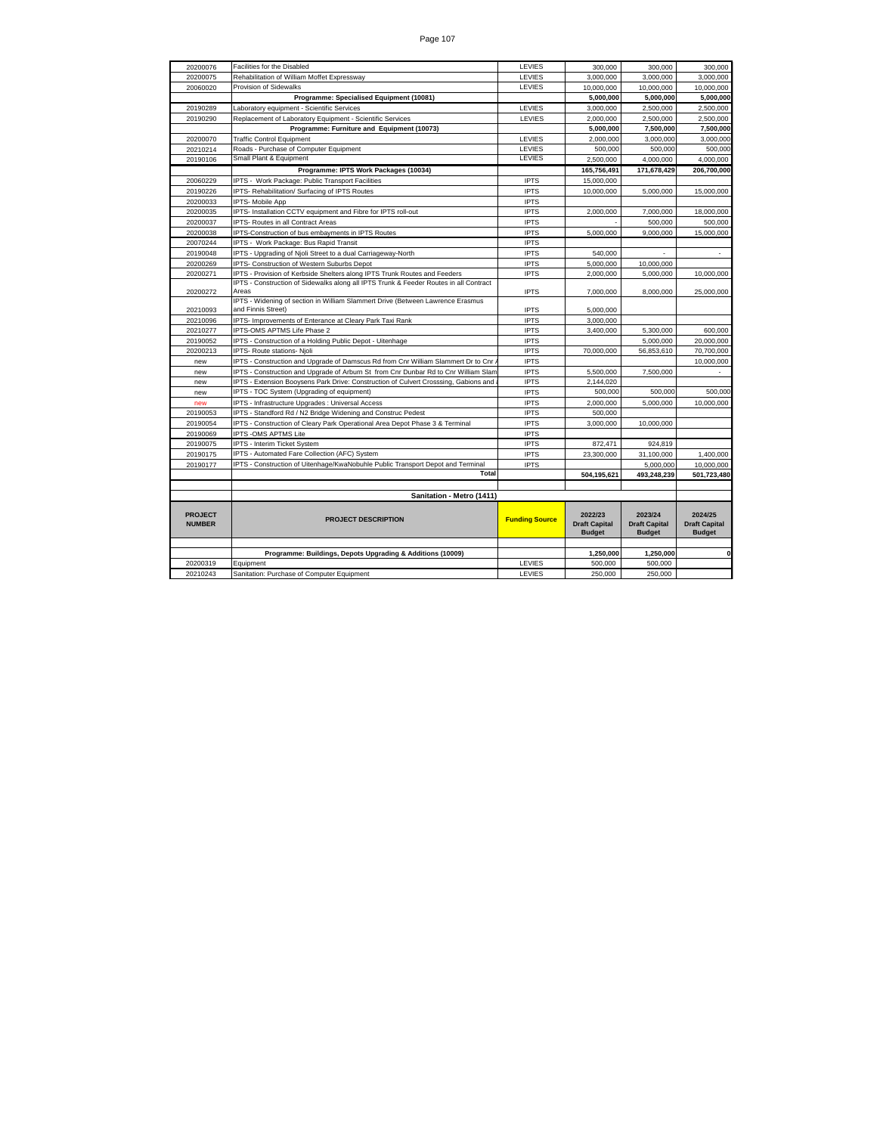| 20200076       | Facilities for the Disabled                                                                          | LEVIES                | 300,000              | 300,000              | 300,000              |
|----------------|------------------------------------------------------------------------------------------------------|-----------------------|----------------------|----------------------|----------------------|
| 20200075       | Rehabilitation of William Moffet Expressway                                                          | LEVIES                | 3,000,000            | 3,000,000            | 3,000,000            |
| 20060020       | Provision of Sidewalks                                                                               | LEVIES                | 10,000,000           | 10,000,000           | 10,000,000           |
|                | Programme: Specialised Equipment (10081)                                                             |                       | 5,000,000            | 5,000,000            | 5,000,000            |
| 20190289       | Laboratory equipment - Scientific Services                                                           | LEVIES                | 3,000,000            | 2,500,000            | 2,500,000            |
| 20190290       | Replacement of Laboratory Equipment - Scientific Services                                            | LEVIES                | 2,000,000            | 2,500,000            | 2,500,000            |
|                | Programme: Furniture and Equipment (10073)                                                           |                       | 5,000,000            | 7,500,000            | 7,500,000            |
| 20200070       | <b>Traffic Control Equipment</b>                                                                     | LEVIES                | 2,000,000            | 3.000.000            | 3.000.000            |
| 20210214       | Roads - Purchase of Computer Equipment                                                               | <b>LEVIES</b>         | 500,000              | 500,000              | 500,000              |
| 20190106       | Small Plant & Equipment                                                                              | <b>LEVIES</b>         | 2.500.000            | 4.000.000            | 4.000.000            |
|                | Programme: IPTS Work Packages (10034)                                                                |                       | 165,756,491          | 171,678,429          | 206,700,000          |
| 20060229       | IPTS - Work Package: Public Transport Facilities                                                     | <b>IPTS</b>           | 15,000,000           |                      |                      |
| 20190226       | IPTS- Rehabilitation/ Surfacing of IPTS Routes                                                       | <b>IPTS</b>           | 10,000,000           | 5,000,000            | 15,000,000           |
| 20200033       | IPTS- Mobile App                                                                                     | <b>IPTS</b>           |                      |                      |                      |
| 20200035       | IPTS- Installation CCTV equipment and Fibre for IPTS roll-out                                        | <b>IPTS</b>           | 2,000,000            | 7,000,000            | 18,000,000           |
| 20200037       | IPTS- Routes in all Contract Areas                                                                   | <b>IPTS</b>           |                      | 500,000              | 500,000              |
| 20200038       | IPTS-Construction of bus embayments in IPTS Routes                                                   | <b>IPTS</b>           | 5,000,000            | 9,000,000            | 15,000,000           |
| 20070244       | IPTS - Work Package: Bus Rapid Transit                                                               | <b>IPTS</b>           |                      |                      |                      |
| 20190048       | IPTS - Upgrading of Njoli Street to a dual Carriageway-North                                         | <b>IPTS</b>           | 540,000              |                      |                      |
| 20200269       | IPTS- Construction of Western Suburbs Depot                                                          | <b>IPTS</b>           | 5,000,000            | 10,000,000           |                      |
| 20200271       | IPTS - Provision of Kerbside Shelters along IPTS Trunk Routes and Feeders                            | <b>IPTS</b>           | 2,000,000            | 5,000,000            | 10,000,000           |
|                | IPTS - Construction of Sidewalks along all IPTS Trunk & Feeder Routes in all Contract                |                       |                      |                      |                      |
| 20200272       | Areas                                                                                                | <b>IPTS</b>           | 7,000,000            | 8,000,000            | 25,000,000           |
| 20210093       | IPTS - Widening of section in William Slammert Drive (Between Lawrence Erasmus<br>and Finnis Street) | <b>IPTS</b>           | 5,000,000            |                      |                      |
| 20210096       | IPTS- Improvements of Enterance at Cleary Park Taxi Rank                                             | <b>IPTS</b>           | 3,000,000            |                      |                      |
| 20210277       | IPTS-OMS APTMS Life Phase 2                                                                          | <b>IPTS</b>           | 3,400,000            | 5,300,000            | 600,000              |
| 20190052       | IPTS - Construction of a Holding Public Depot - Uitenhage                                            | <b>IPTS</b>           |                      | 5,000,000            | 20,000,000           |
| 20200213       | IPTS- Route stations- Njoli                                                                          | <b>IPTS</b>           | 70,000,000           | 56,853,610           | 70,700,000           |
| new            | IPTS - Construction and Upgrade of Damscus Rd from Cnr William Slammert Dr to Cnr.                   | <b>IPTS</b>           |                      |                      | 10,000,000           |
| new            | IPTS - Construction and Upgrade of Arburn St from Cnr Dunbar Rd to Cnr William Slam                  | <b>IPTS</b>           | 5,500,000            | 7,500,000            |                      |
| new            | IPTS - Extension Booysens Park Drive: Construction of Culvert Crosssing, Gabions and                 | <b>IPTS</b>           | 2,144,020            |                      |                      |
| new            | IPTS - TOC System (Upgrading of equipment)                                                           | <b>IPTS</b>           | 500,000              | 500,000              | 500,000              |
| new            | IPTS - Infrastructure Upgrades : Universal Access                                                    | <b>IPTS</b>           | 2,000,000            | 5,000,000            | 10,000,000           |
| 20190053       | IPTS - Standford Rd / N2 Bridge Widening and Construc Pedest                                         | <b>IPTS</b>           | 500,000              |                      |                      |
| 20190054       | IPTS - Construction of Cleary Park Operational Area Depot Phase 3 & Terminal                         | <b>IPTS</b>           | 3.000.000            | 10.000.000           |                      |
| 20190069       | <b>IPTS - OMS APTMS Lite</b>                                                                         | <b>IPTS</b>           |                      |                      |                      |
| 20190075       | IPTS - Interim Ticket System                                                                         | <b>IPTS</b>           | 872,471              | 924,819              |                      |
| 20190175       | IPTS - Automated Fare Collection (AFC) System                                                        | <b>IPTS</b>           | 23,300,000           | 31,100,000           | 1,400,000            |
| 20190177       | IPTS - Construction of Uitenhage/KwaNobuhle Public Transport Depot and Terminal                      | <b>IPTS</b>           |                      | 5.000.000            | 10,000,000           |
|                | <b>Total</b>                                                                                         |                       | 504,195,621          | 493,248,239          | 501,723,480          |
|                |                                                                                                      |                       |                      |                      |                      |
|                | Sanitation - Metro (1411)                                                                            |                       |                      |                      |                      |
|                |                                                                                                      |                       |                      |                      |                      |
| <b>PROJECT</b> |                                                                                                      |                       | 2022/23              | 2023/24              | 2024/25              |
| <b>NUMBER</b>  | <b>PROJECT DESCRIPTION</b>                                                                           | <b>Funding Source</b> | <b>Draft Capital</b> | <b>Draft Capital</b> | <b>Draft Capital</b> |
|                |                                                                                                      |                       | <b>Budget</b>        | <b>Budget</b>        | <b>Budget</b>        |
|                |                                                                                                      |                       |                      |                      |                      |
|                | Programme: Buildings, Depots Upgrading & Additions (10009)                                           |                       | 1,250,000            | 1.250.000            | 0                    |
| 20200319       | Equipment                                                                                            | LEVIES                | 500,000              | 500.000              |                      |
| 20210243       | Sanitation: Purchase of Computer Equipment                                                           | LEVIES                | 250,000              | 250,000              |                      |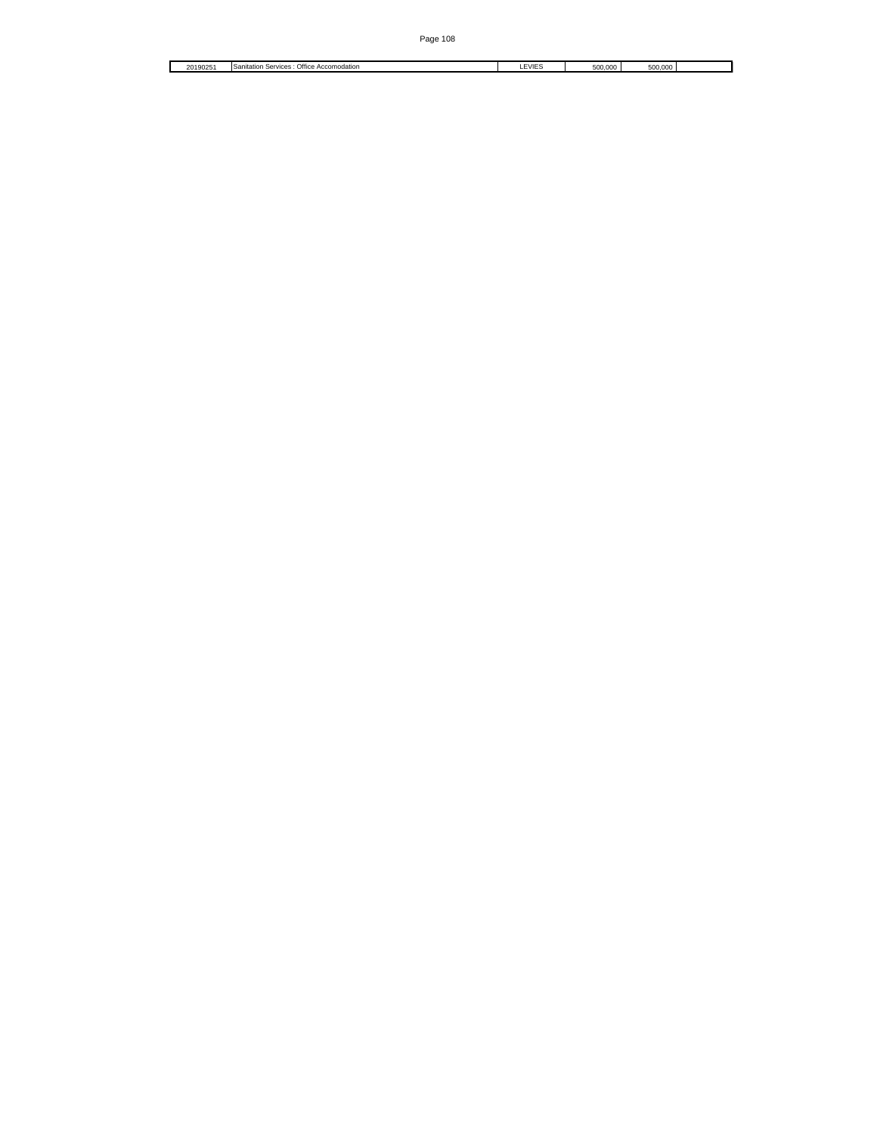$\overline{\phantom{0}}$ 

20190251 Sanitation Services : Office Accomodation Letter Service Computer Services Computer Services Services Computer Services Services Services Services Services Services Services Services Services Services Services Ser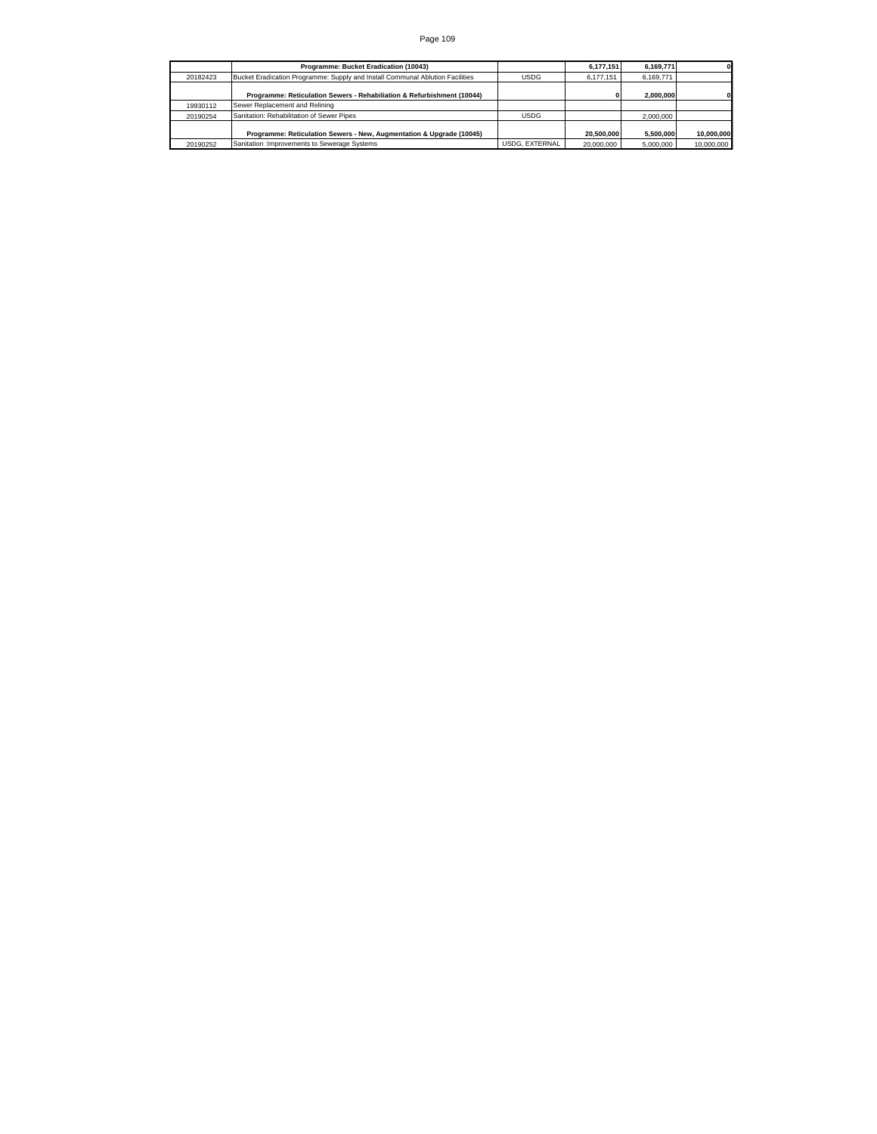|          | Programme: Bucket Eradication (10043)                                         |                | 6.177.151  | 6.169.771 |            |
|----------|-------------------------------------------------------------------------------|----------------|------------|-----------|------------|
| 20182423 | Bucket Eradication Programme: Supply and Install Communal Ablution Facilities | <b>USDG</b>    | 6.177.151  | 6.169.771 |            |
|          | Programme: Reticulation Sewers - Rehabiliation & Refurbishment (10044)        |                |            | 2.000.000 |            |
| 19930112 | Sewer Replacement and Relining                                                |                |            |           |            |
| 20190254 | Sanitation: Rehabilitation of Sewer Pipes                                     | <b>USDG</b>    |            | 2.000.000 |            |
|          | Programme: Reticulation Sewers - New, Augmentation & Upgrade (10045)          |                | 20,500,000 | 5.500.000 | 10.000.000 |
| 20190252 | Sanitation : Improvements to Sewerage Systems                                 | USDG, EXTERNAL | 20,000,000 | 5.000.000 | 10,000,000 |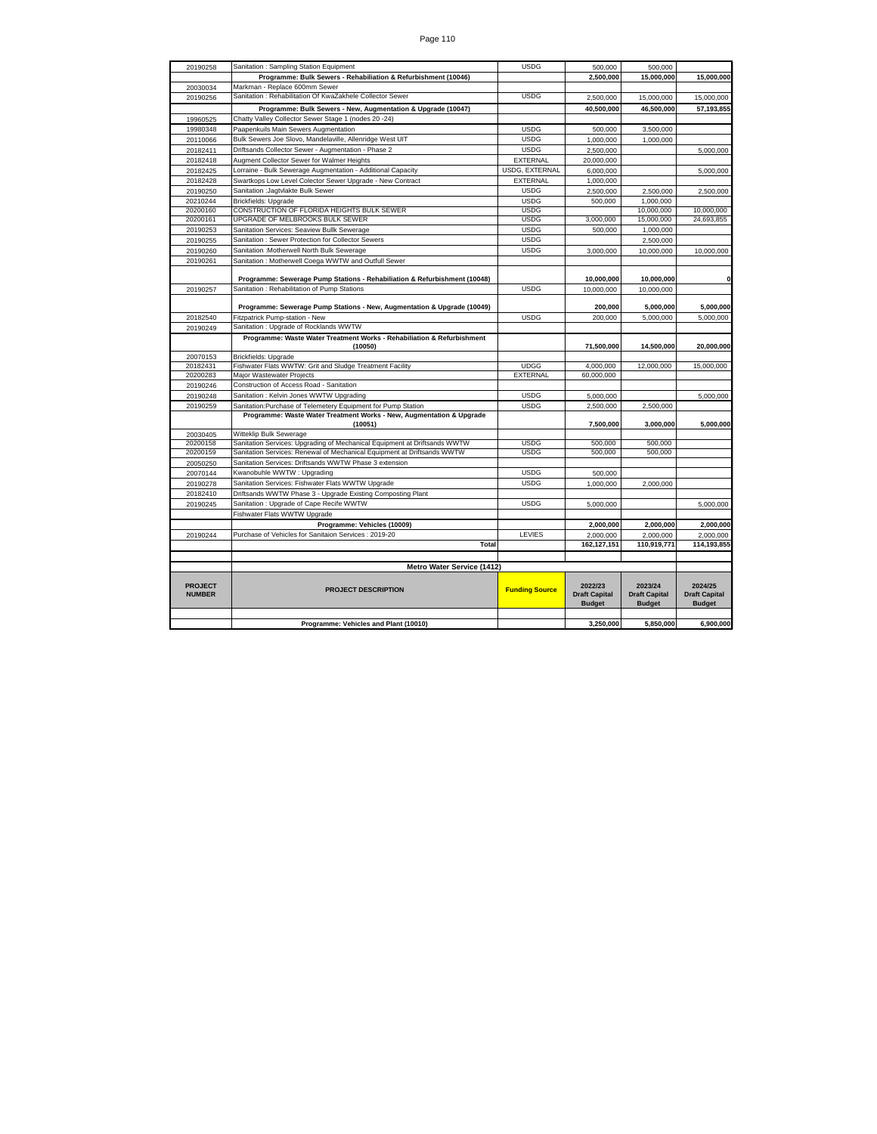| Page 110 |
|----------|
|----------|

| 20190258                        | Sanitation: Sampling Station Equipment                                          | <b>USDG</b>           | 500,000                                          | 500,000                                          |                                                  |
|---------------------------------|---------------------------------------------------------------------------------|-----------------------|--------------------------------------------------|--------------------------------------------------|--------------------------------------------------|
|                                 | Programme: Bulk Sewers - Rehabiliation & Refurbishment (10046)                  |                       | 2,500,000                                        | 15,000,000                                       | 15,000,000                                       |
| 20030034                        | Markman - Replace 600mm Sewer                                                   |                       |                                                  |                                                  |                                                  |
| 20190256                        | Sanitation: Rehabilitation Of KwaZakhele Collector Sewer                        | <b>USDG</b>           | 2.500.000                                        | 15.000.000                                       | 15.000.000                                       |
|                                 | Programme: Bulk Sewers - New, Augmentation & Upgrade (10047)                    |                       | 40,500,000                                       | 46,500,000                                       | 57,193,855                                       |
| 19960525                        | Chatty Valley Collector Sewer Stage 1 (nodes 20 -24)                            |                       |                                                  |                                                  |                                                  |
| 19980348                        | Paapenkuils Main Sewers Augmentation                                            | <b>USDG</b>           | 500,000                                          | 3,500,000                                        |                                                  |
| 20110066                        | Bulk Sewers Joe Slovo, Mandelaville, Allenridge West UIT                        | <b>USDG</b>           | 1.000.000                                        | 1.000.000                                        |                                                  |
| 20182411                        | Driftsands Collector Sewer - Augmentation - Phase 2                             | <b>USDG</b>           | 2,500,000                                        |                                                  | 5,000,000                                        |
| 20182418                        | Augment Collector Sewer for Walmer Heights                                      | <b>EXTERNAL</b>       | 20,000,000                                       |                                                  |                                                  |
| 20182425                        | Lorraine - Bulk Sewerage Augmentation - Additional Capacity                     | USDG, EXTERNAL        | 6,000,000                                        |                                                  | 5,000,000                                        |
| 20182428                        | Swartkops Low Level Colector Sewer Upgrade - New Contract                       | <b>EXTERNAL</b>       | 1,000,000                                        |                                                  |                                                  |
| 20190250                        | Sanitation : Jagtvlakte Bulk Sewer                                              | <b>USDG</b>           | 2,500,000                                        | 2,500,000                                        | 2,500,000                                        |
| 20210244                        | <b>Brickfields: Upgrade</b>                                                     | <b>USDG</b>           | 500,000                                          | 1.000.000                                        |                                                  |
| 20200160                        | CONSTRUCTION OF FLORIDA HEIGHTS BULK SEWER                                      | <b>USDG</b>           |                                                  | 10,000,000                                       | 10,000,000                                       |
| 20200161                        | UPGRADE OF MELBROOKS BULK SEWER                                                 | <b>USDG</b>           | 3,000,000                                        | 15,000,000                                       | 24,693,855                                       |
| 20190253                        | Sanitation Services: Seaview Bullk Sewerage                                     | <b>USDG</b>           | 500.000                                          | 1.000.000                                        |                                                  |
| 20190255                        | Sanitation: Sewer Protection for Collector Sewers                               | <b>USDG</b>           |                                                  | 2,500,000                                        |                                                  |
| 20190260                        | Sanitation : Motherwell North Bulk Sewerage                                     | <b>USDG</b>           | 3,000,000                                        | 10,000,000                                       | 10,000,000                                       |
| 20190261                        | Sanitation: Motherwell Coega WWTW and Outfull Sewer                             |                       |                                                  |                                                  |                                                  |
|                                 |                                                                                 |                       |                                                  |                                                  |                                                  |
|                                 | Programme: Sewerage Pump Stations - Rehabiliation & Refurbishment (10048)       |                       | 10,000,000                                       | 10,000,000                                       | $\pmb{0}$                                        |
| 20190257                        | Sanitation: Rehabilitation of Pump Stations                                     | <b>USDG</b>           | 10,000,000                                       | 10,000,000                                       |                                                  |
|                                 |                                                                                 |                       |                                                  |                                                  |                                                  |
|                                 | Programme: Sewerage Pump Stations - New, Augmentation & Upgrade (10049)         |                       | 200,000                                          | 5,000,000                                        | 5,000,000                                        |
| 20182540                        | Fitzpatrick Pump-station - New                                                  | <b>USDG</b>           | 200,000                                          | 5,000,000                                        | 5,000,000                                        |
| 20190249                        | Sanitation: Upgrade of Rocklands WWTW                                           |                       |                                                  |                                                  |                                                  |
|                                 | Programme: Waste Water Treatment Works - Rehabiliation & Refurbishment          |                       |                                                  |                                                  |                                                  |
|                                 | (10050)                                                                         |                       | 71,500,000                                       | 14,500,000                                       | 20,000,000                                       |
| 20070153                        | Brickfields: Upgrade                                                            |                       |                                                  |                                                  |                                                  |
| 20182431                        | Fishwater Flats WWTW: Grit and Sludge Treatment Facility                        | <b>UDGG</b>           | 4,000,000                                        | 12,000,000                                       | 15,000,000                                       |
| 20200283                        | <b>Maior Wastewater Projects</b>                                                | <b>EXTERNAL</b>       | 60,000,000                                       |                                                  |                                                  |
| 20190246                        | Construction of Access Road - Sanitation                                        |                       |                                                  |                                                  |                                                  |
| 20190248                        | Sanitation: Kelvin Jones WWTW Upgrading                                         | <b>USDG</b>           | 5.000.000                                        |                                                  | 5,000,000                                        |
| 20190259                        | Sanitation:Purchase of Telemetery Equipment for Pump Station                    | <b>USDG</b>           | 2,500,000                                        | 2,500,000                                        |                                                  |
|                                 | Programme: Waste Water Treatment Works - New, Augmentation & Upgrade<br>(10051) |                       | 7,500,000                                        | 3,000,000                                        | 5,000,000                                        |
| 20030405                        | Witteklip Bulk Sewerage                                                         |                       |                                                  |                                                  |                                                  |
| 20200158                        | Sanitation Services: Upgrading of Mechanical Equipment at Driftsands WWTW       | <b>USDG</b>           | 500,000                                          | 500,000                                          |                                                  |
| 20200159                        | Sanitation Services: Renewal of Mechanical Equipment at Driftsands WWTW         | <b>USDG</b>           | 500,000                                          | 500,000                                          |                                                  |
| 20050250                        | Sanitation Services: Driftsands WWTW Phase 3 extension                          |                       |                                                  |                                                  |                                                  |
| 20070144                        | Kwanobuhle WWTW: Upgrading                                                      | <b>USDG</b>           | 500,000                                          |                                                  |                                                  |
| 20190278                        | Sanitation Services: Fishwater Flats WWTW Upgrade                               | <b>USDG</b>           | 1,000,000                                        | 2,000,000                                        |                                                  |
| 20182410                        | Driftsands WWTW Phase 3 - Upgrade Existing Composting Plant                     |                       |                                                  |                                                  |                                                  |
| 20190245                        | Sanitation : Upgrade of Cape Recife WWTW                                        | <b>USDG</b>           | 5,000,000                                        |                                                  | 5,000,000                                        |
|                                 | Fishwater Flats WWTW Upgrade                                                    |                       |                                                  |                                                  |                                                  |
|                                 | Programme: Vehicles (10009)                                                     |                       | 2,000,000                                        | 2,000,000                                        | 2,000,000                                        |
| 20190244                        | Purchase of Vehicles for Sanitaion Services : 2019-20                           | LEVIES                | 2,000,000                                        | 2,000,000                                        | 2,000,000                                        |
|                                 | Total                                                                           |                       | 162,127,151                                      | 110,919,771                                      | 114,193,855                                      |
|                                 |                                                                                 |                       |                                                  |                                                  |                                                  |
|                                 | Metro Water Service (1412)                                                      |                       |                                                  |                                                  |                                                  |
| <b>PROJECT</b><br><b>NUMBER</b> | <b>PROJECT DESCRIPTION</b>                                                      | <b>Funding Source</b> | 2022/23<br><b>Draft Capital</b><br><b>Budget</b> | 2023/24<br><b>Draft Capital</b><br><b>Budget</b> | 2024/25<br><b>Draft Capital</b><br><b>Budget</b> |
|                                 |                                                                                 |                       |                                                  |                                                  |                                                  |
|                                 | Programme: Vehicles and Plant (10010)                                           |                       | 3,250,000                                        | 5,850,000                                        | 6,900,000                                        |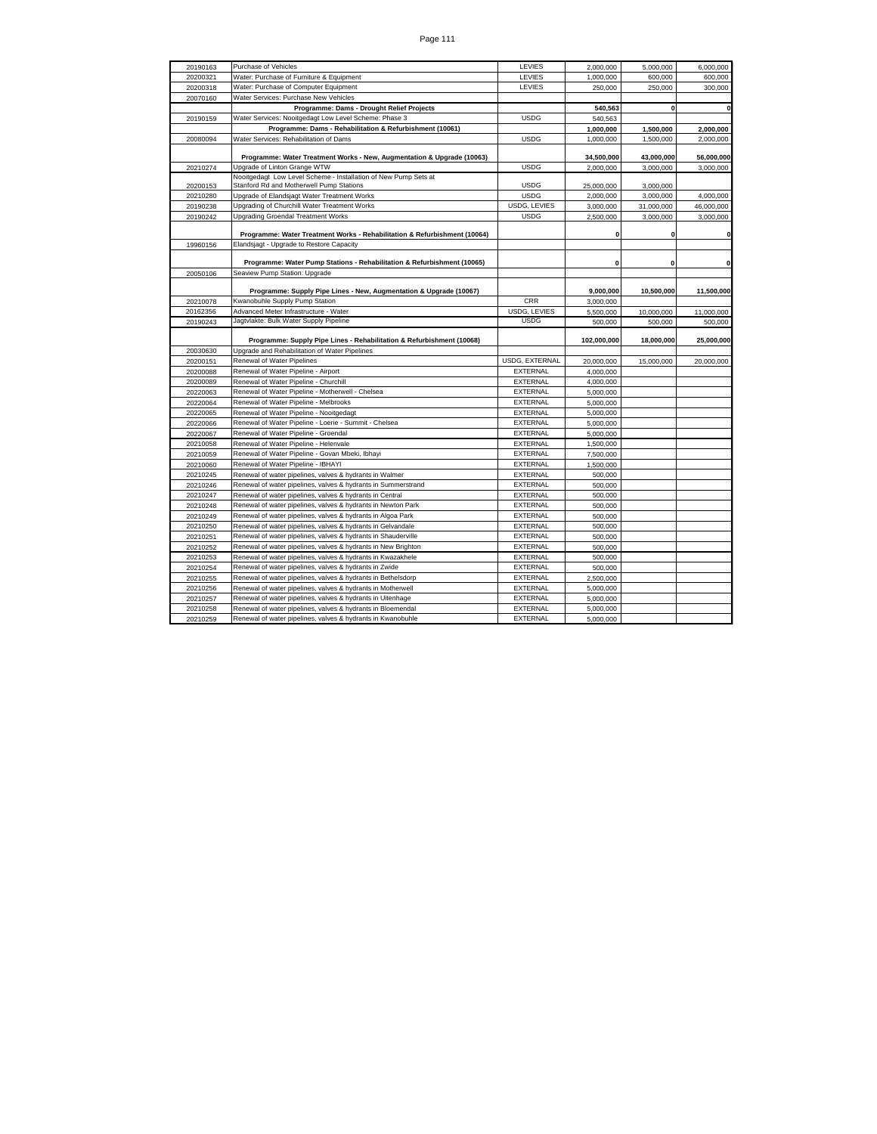| 20190163 | Purchase of Vehicles                                                      | LEVIES                | 2,000,000   | 5,000,000    | 6,000,000    |
|----------|---------------------------------------------------------------------------|-----------------------|-------------|--------------|--------------|
| 20200321 | Water: Purchase of Furniture & Equipment                                  | LEVIES                | 1,000,000   | 600,000      | 600,000      |
| 20200318 | Water: Purchase of Computer Equipment                                     | LEVIES                | 250,000     | 250,000      | 300,000      |
| 20070160 | Water Services: Purchase New Vehicles                                     |                       |             |              |              |
|          | Programme: Dams - Drought Relief Projects                                 |                       | 540,563     | $\mathbf{0}$ | $\mathbf{0}$ |
| 20190159 | Water Services: Nooitgedagt Low Level Scheme: Phase 3                     | <b>USDG</b>           | 540,563     |              |              |
|          | Programme: Dams - Rehabilitation & Refurbishment (10061)                  |                       | 1,000,000   | 1,500,000    | 2,000,000    |
| 20080094 | Water Services: Rehabilitation of Dams                                    | <b>USDG</b>           | 1,000,000   | 1,500,000    | 2,000,000    |
|          | Programme: Water Treatment Works - New, Augmentation & Upgrade (10063)    |                       | 34,500,000  | 43,000,000   | 56,000,000   |
| 20210274 | Upgrade of Linton Grange WTW                                              | <b>USDG</b>           | 2,000,000   | 3,000,000    | 3,000,000    |
|          | Nooitgedagt Low Level Scheme - Installation of New Pump Sets at           |                       |             |              |              |
| 20200153 | Stanford Rd and Motherwell Pump Stations                                  | <b>USDG</b>           | 25,000,000  | 3,000,000    |              |
| 20210280 | Upgrade of Elandsjagt Water Treatment Works                               | <b>USDG</b>           | 2.000.000   | 3,000,000    | 4,000,000    |
| 20190238 | Upgrading of Churchill Water Treatment Works                              | USDG, LEVIES          | 3,000,000   | 31,000,000   | 46,000,000   |
| 20190242 | <b>Upgrading Groendal Treatment Works</b>                                 | <b>USDG</b>           | 2,500,000   | 3,000,000    | 3,000,000    |
|          |                                                                           |                       |             |              |              |
|          | Programme: Water Treatment Works - Rehabilitation & Refurbishment (10064) |                       | $\mathbf 0$ | $\mathbf{0}$ | $\mathbf{0}$ |
| 19960156 | Elandsjagt - Upgrade to Restore Capacity                                  |                       |             |              |              |
|          |                                                                           |                       |             |              |              |
|          | Programme: Water Pump Stations - Rehabilitation & Refurbishment (10065)   |                       | $\mathbf 0$ | $\mathbf 0$  | $\pmb{0}$    |
| 20050106 | Seaview Pump Station: Upgrade                                             |                       |             |              |              |
|          | Programme: Supply Pipe Lines - New, Augmentation & Upgrade (10067)        |                       | 9,000,000   | 10,500,000   | 11,500,000   |
| 20210078 | Kwanobuhle Supply Pump Station                                            | CRR                   | 3,000,000   |              |              |
| 20162356 | Advanced Meter Infrastructure - Water                                     | USDG, LEVIES          | 5,500,000   | 10,000,000   | 11,000,000   |
| 20190243 | Jagtvlakte: Bulk Water Supply Pipeline                                    | <b>USDG</b>           | 500,000     | 500,000      | 500,000      |
|          |                                                                           |                       |             |              |              |
|          | Programme: Supply Pipe Lines - Rehabilitation & Refurbishment (10068)     |                       | 102,000,000 | 18,000,000   | 25,000,000   |
| 20030630 | Upgrade and Rehabilitation of Water Pipelines                             |                       |             |              |              |
| 20200151 | Renewal of Water Pipelines                                                | <b>USDG, EXTERNAL</b> | 20,000,000  | 15,000,000   | 20,000,000   |
| 20200088 | Renewal of Water Pipeline - Airport                                       | EXTERNAL              | 4,000,000   |              |              |
| 20200089 | Renewal of Water Pipeline - Churchill                                     | <b>EXTERNAL</b>       | 4.000.000   |              |              |
| 20220063 | Renewal of Water Pipeline - Motherwell - Chelsea                          | EXTERNAL              | 5,000,000   |              |              |
| 20220064 | Renewal of Water Pipeline - Melbrooks                                     | EXTERNAL              | 5,000,000   |              |              |
| 20220065 | Renewal of Water Pipeline - Nooitgedagt                                   | EXTERNAL              | 5,000,000   |              |              |
| 20220066 | Renewal of Water Pipeline - Loerie - Summit - Chelsea                     | EXTERNAL              | 5,000,000   |              |              |
| 20220067 | Renewal of Water Pipeline - Groendal                                      | EXTERNAL              | 5,000,000   |              |              |
| 20210058 | Renewal of Water Pipeline - Helenvale                                     | EXTERNAL              | 1,500,000   |              |              |
| 20210059 | Renewal of Water Pipeline - Govan Mbeki, Ibhayi                           | <b>EXTERNAL</b>       | 7.500.000   |              |              |
| 20210060 | Renewal of Water Pipeline - IBHAYI                                        | EXTERNAL              | 1,500,000   |              |              |
| 20210245 | Renewal of water pipelines, valves & hydrants in Walmer                   | <b>EXTERNAL</b>       | 500,000     |              |              |
| 20210246 | Renewal of water pipelines, valves & hydrants in Summerstrand             | EXTERNAL              | 500,000     |              |              |
| 20210247 | Renewal of water pipelines, valves & hydrants in Central                  | EXTERNAL              | 500,000     |              |              |
| 20210248 | Renewal of water pipelines, valves & hydrants in Newton Park              | EXTERNAL              | 500,000     |              |              |
| 20210249 | Renewal of water pipelines, valves & hydrants in Algoa Park               | <b>EXTERNAL</b>       | 500,000     |              |              |
| 20210250 | Renewal of water pipelines, valves & hydrants in Gelvandale               | <b>EXTERNAL</b>       | 500,000     |              |              |
| 20210251 | Renewal of water pipelines, valves & hydrants in Shauderville             | EXTERNAL              | 500.000     |              |              |
| 20210252 | Renewal of water pipelines, valves & hydrants in New Brighton             | EXTERNAL              | 500,000     |              |              |
| 20210253 | Renewal of water pipelines, valves & hydrants in Kwazakhele               | <b>EXTERNAL</b>       | 500,000     |              |              |
| 20210254 | Renewal of water pipelines, valves & hydrants in Zwide                    | EXTERNAL              | 500,000     |              |              |
| 20210255 | Renewal of water pipelines, valves & hydrants in Bethelsdorp              | EXTERNAL              | 2,500,000   |              |              |
| 20210256 | Renewal of water pipelines, valves & hydrants in Motherwell               | <b>EXTERNAL</b>       | 5,000,000   |              |              |
| 20210257 | Renewal of water pipelines, valves & hydrants in Uitenhage                | <b>EXTERNAL</b>       | 5,000,000   |              |              |
| 20210258 | Renewal of water pipelines, valves & hydrants in Bloemendal               | EXTERNAL              | 5.000.000   |              |              |
| 20210259 | Renewal of water pipelines, valves & hydrants in Kwanobuhle               | EXTERNAL              | 5,000,000   |              |              |
|          |                                                                           |                       |             |              |              |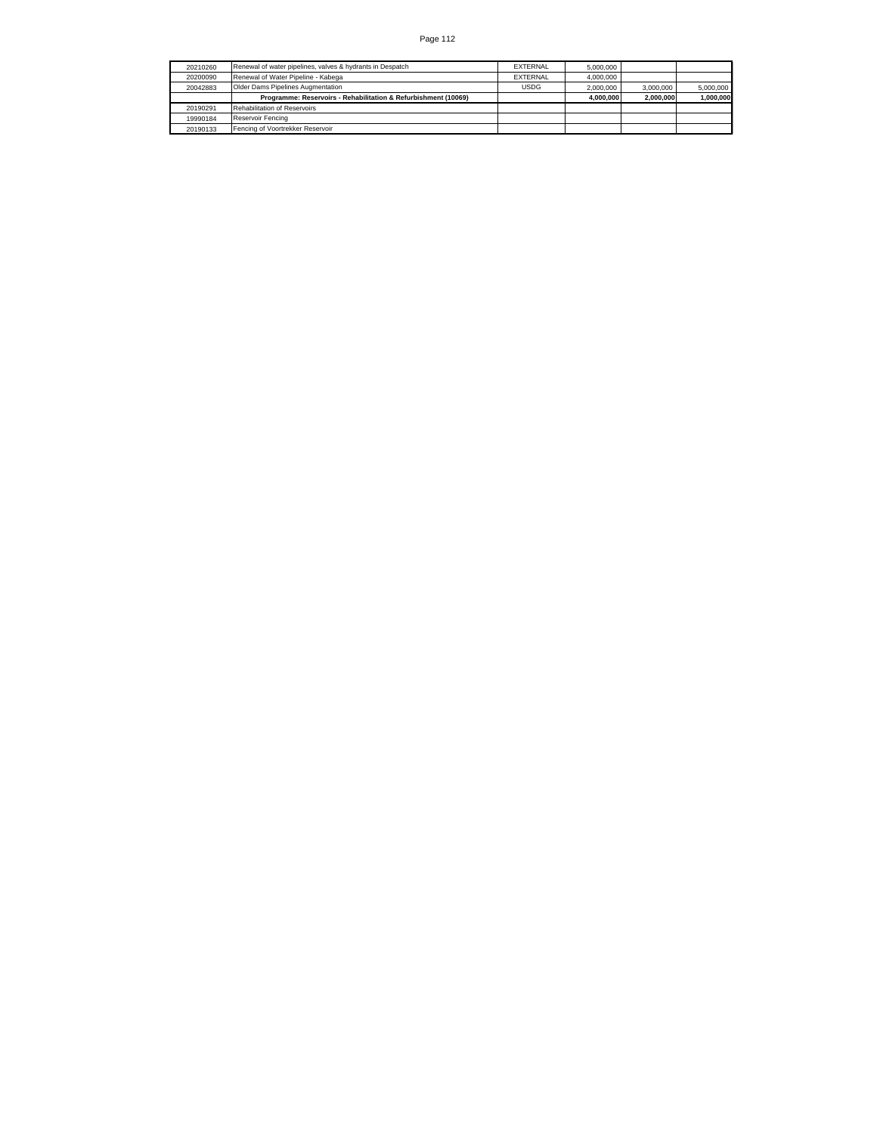| 20210260 | Renewal of water pipelines, valves & hydrants in Despatch      | <b>FXTERNAL</b> | 5.000.000 |           |           |
|----------|----------------------------------------------------------------|-----------------|-----------|-----------|-----------|
| 20200090 | Renewal of Water Pipeline - Kabega                             | <b>FXTERNAL</b> | 4.000.000 |           |           |
| 20042883 | Older Dams Pipelines Augmentation                              | <b>USDG</b>     | 2.000.000 | 3.000.000 | 5.000.000 |
|          | Programme: Reservoirs - Rehabilitation & Refurbishment (10069) |                 | 4.000.000 | 2.000.000 | 1,000,000 |
| 20190291 | <b>Rehabilitation of Reservoirs</b>                            |                 |           |           |           |
| 19990184 | Reservoir Fencing                                              |                 |           |           |           |
| 20190133 | Fencing of Voortrekker Reservoir                               |                 |           |           |           |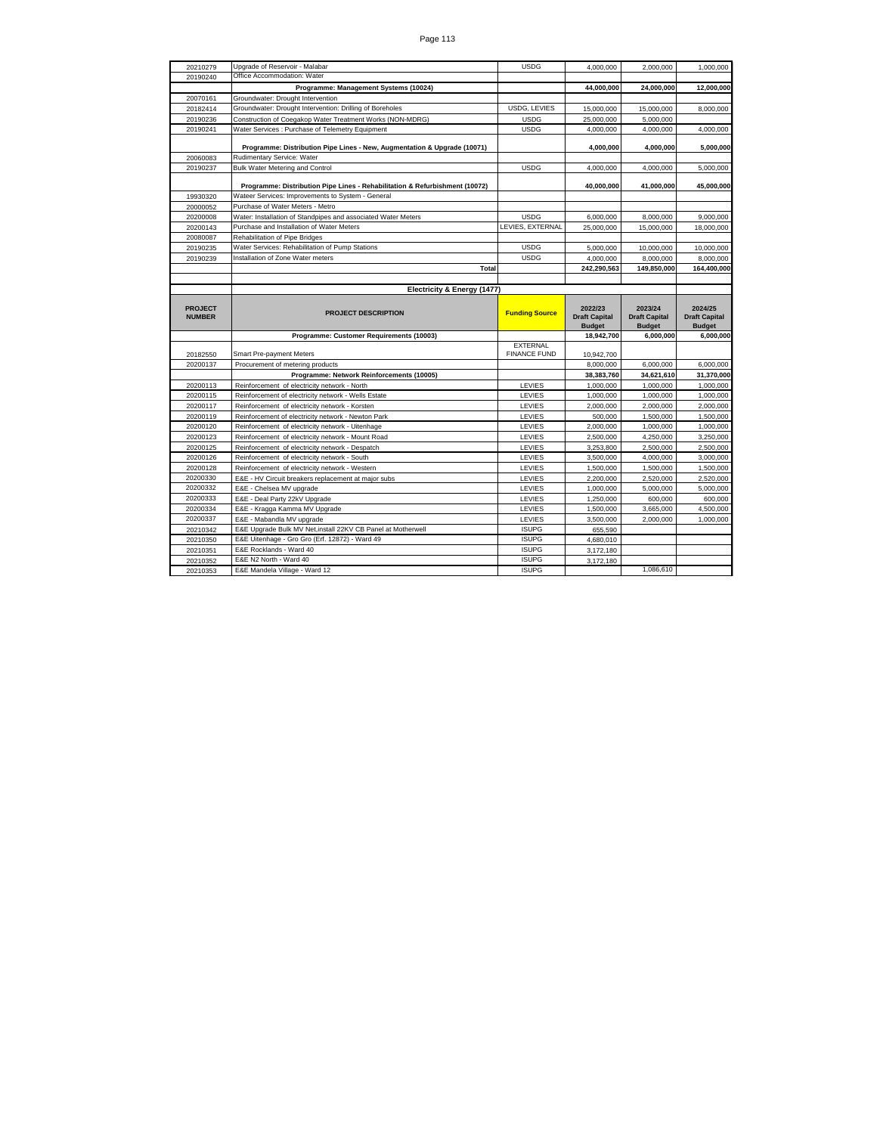| 20210279                        | Upgrade of Reservoir - Malabar                                              | <b>USDG</b>                  | 4,000,000                       | 2,000,000                       | 1,000,000                       |
|---------------------------------|-----------------------------------------------------------------------------|------------------------------|---------------------------------|---------------------------------|---------------------------------|
| 20190240                        | Office Accommodation: Water                                                 |                              |                                 |                                 |                                 |
|                                 | Programme: Management Systems (10024)                                       |                              | 44.000.000                      | 24,000,000                      | 12,000,000                      |
| 20070161                        | Groundwater: Drought Intervention                                           |                              |                                 |                                 |                                 |
| 20182414                        | Groundwater: Drought Intervention: Drilling of Boreholes                    | USDG, LEVIES                 | 15,000,000                      | 15,000,000                      | 8.000.000                       |
| 20190236                        | Construction of Coegakop Water Treatment Works (NON-MDRG)                   | <b>USDG</b>                  | 25,000,000                      | 5,000,000                       |                                 |
| 20190241                        | Water Services : Purchase of Telemetry Equipment                            | <b>USDG</b>                  | 4,000,000                       | 4,000,000                       | 4,000,000                       |
|                                 |                                                                             |                              |                                 |                                 |                                 |
|                                 | Programme: Distribution Pipe Lines - New, Augmentation & Upgrade (10071)    |                              | 4,000,000                       | 4,000,000                       | 5,000,000                       |
| 20060083                        | Rudimentary Service: Water                                                  |                              |                                 |                                 |                                 |
| 20190237                        | Bulk Water Metering and Control                                             | <b>USDG</b>                  | 4,000,000                       | 4,000,000                       | 5,000,000                       |
|                                 | Programme: Distribution Pipe Lines - Rehabilitation & Refurbishment (10072) |                              | 40,000,000                      | 41,000,000                      | 45,000,000                      |
| 19930320                        | Wateer Services: Improvements to System - General                           |                              |                                 |                                 |                                 |
| 20000052                        | Purchase of Water Meters - Metro                                            |                              |                                 |                                 |                                 |
| 20200008                        | Water: Installation of Standpipes and associated Water Meters               | <b>USDG</b>                  | 6,000,000                       | 8,000,000                       | 9,000,000                       |
| 20200143                        | Purchase and Installation of Water Meters                                   | LEVIES, EXTERNAL             | 25,000,000                      | 15,000,000                      | 18,000,000                      |
| 20080087                        | Rehabilitation of Pipe Bridges                                              |                              |                                 |                                 |                                 |
| 20190235                        | Water Services: Rehabilitation of Pump Stations                             | <b>USDG</b>                  | 5,000,000                       | 10,000,000                      | 10,000,000                      |
| 20190239                        | Installation of Zone Water meters                                           | <b>USDG</b>                  | 4,000,000                       | 8,000,000                       | 8,000,000                       |
|                                 | Total                                                                       |                              | 242,290,563                     | 149,850,000                     | 164,400,000                     |
|                                 |                                                                             |                              |                                 |                                 |                                 |
|                                 | Electricity & Energy (1477)                                                 |                              |                                 |                                 |                                 |
| <b>PROJECT</b><br><b>NUMBER</b> | <b>PROJECT DESCRIPTION</b>                                                  | <b>Funding Source</b>        | 2022/23<br><b>Draft Capital</b> | 2023/24<br><b>Draft Capital</b> | 2024/25<br><b>Draft Capital</b> |
|                                 |                                                                             |                              |                                 |                                 |                                 |
|                                 |                                                                             |                              | <b>Budget</b>                   | <b>Budget</b>                   | <b>Budget</b>                   |
|                                 | Programme: Customer Requirements (10003)                                    |                              | 18,942,700                      | 6,000,000                       | 6,000,000                       |
|                                 |                                                                             | <b>EXTERNAL</b>              |                                 |                                 |                                 |
| 20182550                        | Smart Pre-payment Meters                                                    | <b>FINANCE FUND</b>          | 10,942,700                      |                                 |                                 |
| 20200137                        | Procurement of metering products                                            |                              | 8,000,000                       | 6,000,000                       | 6,000,000                       |
|                                 | Programme: Network Reinforcements (10005)                                   |                              | 38,383,760                      | 34,621,610                      | 31,370,000                      |
| 20200113                        | Reinforcement of electricity network - North                                | LEVIES                       | 1,000,000                       | 1,000,000                       | 1,000,000                       |
| 20200115                        | Reinforcement of electricity network - Wells Estate                         | LEVIES                       | 1,000,000                       | 1,000,000                       | 1,000,000                       |
| 20200117                        | Reinforcement of electricity network - Korsten                              | LEVIES                       | 2,000,000                       | 2,000,000                       | 2,000,000                       |
| 20200119                        | Reinforcement of electricity network - Newton Park                          | LEVIES                       | 500,000                         | 1,500,000                       | 1,500,000                       |
| 20200120                        | Reinforcement of electricity network - Uitenhage                            | LEVIES                       | 2,000,000                       | 1,000,000                       | 1,000,000                       |
| 20200123                        | Reinforcement of electricity network - Mount Road                           | LEVIES                       | 2,500,000                       | 4,250,000                       | 3,250,000                       |
| 20200125                        | Reinforcement of electricity network - Despatch                             | LEVIES                       | 3,253,800                       | 2,500,000                       | 2,500,000                       |
| 20200126                        | Reinforcement of electricity network - South                                | LEVIES                       | 3,500,000                       | 4,000,000                       | 3,000,000                       |
| 20200128                        | Reinforcement of electricity network - Western                              | LEVIES                       | 1,500,000                       | 1,500,000                       | 1,500,000                       |
| 20200330                        | E&E - HV Circuit breakers replacement at major subs                         | LEVIES                       | 2,200,000                       | 2,520,000                       | 2,520,000                       |
| 20200332                        | E&E - Chelsea MV upgrade                                                    | LEVIES                       | 1,000,000                       | 5,000,000                       | 5,000,000                       |
| 20200333                        | E&E - Deal Party 22kV Upgrade                                               | LEVIES                       | 1,250,000                       | 600,000                         | 600,000                         |
| 20200334                        | E&E - Kragga Kamma MV Upgrade                                               | LEVIES                       | 1,500,000                       | 3,665,000                       | 4,500,000                       |
| 20200337                        | E&E - Mabandla MV upgrade                                                   | LEVIES                       | 3,500,000                       | 2,000,000                       | 1,000,000                       |
| 20210342                        | E&E Upgrade Bulk MV Net, install 22KV CB Panel at Motherwell                | <b>ISUPG</b>                 | 655,590                         |                                 |                                 |
| 20210350                        | E&E Uitenhage - Gro Gro (Erf. 12872) - Ward 49                              | <b>ISUPG</b>                 | 4.680.010                       |                                 |                                 |
| 20210351                        | <b>F&amp;F Rocklands - Ward 40</b>                                          | <b>ISUPG</b>                 | 3,172,180                       |                                 |                                 |
| 20210352<br>20210353            | E&E N2 North - Ward 40<br>E&E Mandela Village - Ward 12                     | <b>ISUPG</b><br><b>ISUPG</b> | 3,172,180                       | 1,086,610                       |                                 |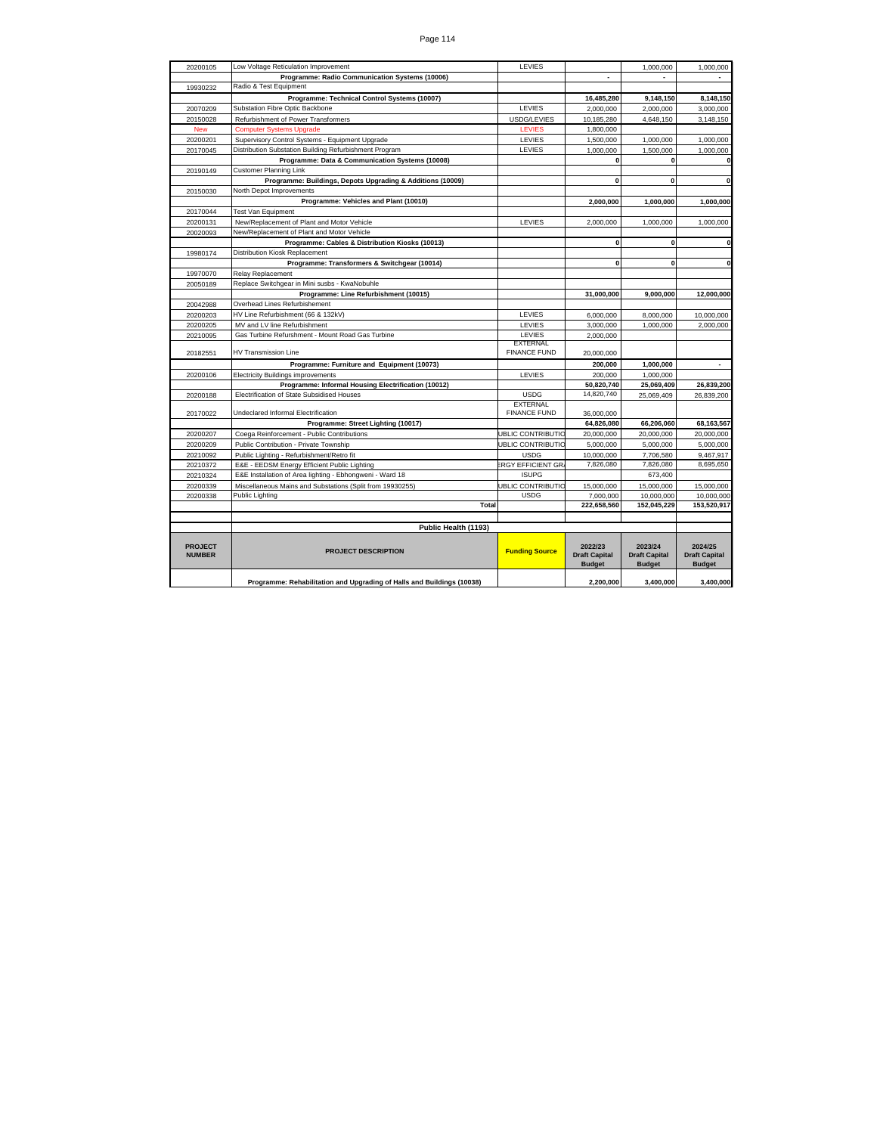| 20200105                        | Low Voltage Reticulation Improvement                                   | LEVIES                                 |                                                  | 1,000,000                                        | 1,000,000                                        |
|---------------------------------|------------------------------------------------------------------------|----------------------------------------|--------------------------------------------------|--------------------------------------------------|--------------------------------------------------|
|                                 | Programme: Radio Communication Systems (10006)                         |                                        | $\overline{a}$                                   |                                                  |                                                  |
| 19930232                        | Radio & Test Equipment                                                 |                                        |                                                  |                                                  |                                                  |
|                                 | Programme: Technical Control Systems (10007)                           |                                        | 16,485,280                                       | 9.148.150                                        | 8.148.150                                        |
| 20070209                        | Substation Fibre Optic Backbone                                        | LEVIES                                 | 2,000,000                                        | 2,000,000                                        | 3,000,000                                        |
| 20150028                        | Refurbishment of Power Transformers                                    | USDG/LEVIES                            | 10,185,280                                       | 4,648,150                                        | 3,148,150                                        |
| <b>New</b>                      | <b>Computer Systems Upgrade</b>                                        | <b>LEVIES</b>                          | 1,800,000                                        |                                                  |                                                  |
| 20200201                        | Supervisory Control Systems - Equipment Upgrade                        | LEVIES                                 | 1,500,000                                        | 1,000,000                                        | 1,000,000                                        |
| 20170045                        | Distribution Substation Building Refurbishment Program                 | LEVIES                                 | 1,000,000                                        | 1,500,000                                        | 1,000,000                                        |
|                                 | Programme: Data & Communication Systems (10008)                        |                                        | $\mathbf 0$                                      | $\mathbf 0$                                      |                                                  |
| 20190149                        | <b>Customer Planning Link</b>                                          |                                        |                                                  |                                                  |                                                  |
|                                 | Programme: Buildings, Depots Upgrading & Additions (10009)             |                                        | $\mathbf 0$                                      | $\mathbf 0$                                      | $\mathbf 0$                                      |
| 20150030                        | North Depot Improvements                                               |                                        |                                                  |                                                  |                                                  |
|                                 | Programme: Vehicles and Plant (10010)                                  |                                        | 2.000.000                                        | 1,000,000                                        | 1.000.000                                        |
| 20170044                        | <b>Test Van Equipment</b>                                              |                                        |                                                  |                                                  |                                                  |
| 20200131                        | New/Replacement of Plant and Motor Vehicle                             | LEVIES                                 | 2.000.000                                        | 1,000,000                                        | 1,000,000                                        |
| 20020093                        | New/Replacement of Plant and Motor Vehicle                             |                                        |                                                  |                                                  |                                                  |
|                                 | Programme: Cables & Distribution Kiosks (10013)                        |                                        | $\mathbf 0$                                      | $\bf{0}$                                         | n                                                |
| 19980174                        | Distribution Kiosk Replacement                                         |                                        |                                                  |                                                  |                                                  |
|                                 | Programme: Transformers & Switchgear (10014)                           |                                        | $\mathbf{0}$                                     | 0                                                | O                                                |
| 19970070                        | <b>Relay Replacement</b>                                               |                                        |                                                  |                                                  |                                                  |
| 20050189                        | Replace Switchgear in Mini susbs - KwaNobuhle                          |                                        |                                                  |                                                  |                                                  |
|                                 | Programme: Line Refurbishment (10015)                                  |                                        | 31,000,000                                       | 9,000,000                                        | 12,000,000                                       |
| 20042988                        | Overhead Lines Refurbishement                                          |                                        |                                                  |                                                  |                                                  |
| 20200203                        | HV Line Refurbishment (66 & 132kV)                                     | LEVIES                                 | 6.000.000                                        | 8,000,000                                        | 10,000,000                                       |
| 20200205                        | MV and LV line Refurbishment                                           | LEVIES                                 | 3,000,000                                        | 1.000.000                                        | 2,000,000                                        |
| 20210095                        | Gas Turbine Refurshment - Mount Road Gas Turbine                       | LEVIES                                 | 2.000.000                                        |                                                  |                                                  |
| 20182551                        | <b>HV Transmission Line</b>                                            | <b>EXTERNAL</b><br><b>FINANCE FUND</b> | 20,000,000                                       |                                                  |                                                  |
|                                 | Programme: Furniture and Equipment (10073)                             |                                        | 200,000                                          | 1,000,000                                        | $\overline{\phantom{a}}$                         |
| 20200106                        | <b>Electricity Buildings improvements</b>                              | LEVIES                                 | 200.000                                          | 1,000,000                                        |                                                  |
|                                 | Programme: Informal Housing Electrification (10012)                    |                                        | 50,820,740                                       | 25,069,409                                       | 26,839,200                                       |
| 20200188                        | Electrification of State Subsidised Houses                             | <b>USDG</b>                            | 14.820.740                                       | 25,069,409                                       | 26,839,200                                       |
|                                 |                                                                        | <b>EXTERNAL</b>                        |                                                  |                                                  |                                                  |
| 20170022                        | Undeclared Informal Electrification                                    | <b>FINANCE FUND</b>                    | 36,000,000                                       |                                                  |                                                  |
|                                 | Programme: Street Lighting (10017)                                     |                                        | 64,826,080                                       | 66,206,060                                       | 68,163,567                                       |
| 20200207                        | Coega Reinforcement - Public Contributions                             | <b>JBLIC CONTRIBUTIC</b>               | 20,000,000                                       | 20,000,000                                       | 20,000,000                                       |
| 20200209                        | Public Contribution - Private Township                                 | <b>JBLIC CONTRIBUTIC</b>               | 5.000.000                                        | 5.000.000                                        | 5.000.000                                        |
| 20210092                        | Public Lighting - Refurbishment/Retro fit                              | <b>USDG</b>                            | 10,000,000                                       | 7,706,580                                        | 9,467,917                                        |
| 20210372                        | E&E - EEDSM Energy Efficient Public Lighting                           | <b>RGY EFFICIENT GR</b>                | 7.826.080                                        | 7.826.080                                        | 8.695.650                                        |
| 20210324                        | E&E Installation of Area lighting - Ebhongweni - Ward 18               | <b>ISUPG</b>                           |                                                  | 673.400                                          |                                                  |
| 20200339                        | Miscellaneous Mains and Substations (Split from 19930255)              | <b>JBLIC CONTRIBUTIC</b>               | 15,000,000                                       | 15.000.000                                       | 15,000,000                                       |
| 20200338                        | <b>Public Lighting</b>                                                 | <b>USDG</b>                            | 7.000.000                                        | 10.000.000                                       | 10,000,000                                       |
|                                 | Total                                                                  |                                        | 222,658,560                                      | 152,045,229                                      | 153,520,917                                      |
|                                 |                                                                        |                                        |                                                  |                                                  |                                                  |
|                                 | Public Health (1193)                                                   |                                        |                                                  |                                                  |                                                  |
| <b>PROJECT</b><br><b>NUMBER</b> | <b>PROJECT DESCRIPTION</b>                                             | <b>Funding Source</b>                  | 2022/23<br><b>Draft Capital</b><br><b>Budget</b> | 2023/24<br><b>Draft Capital</b><br><b>Budget</b> | 2024/25<br><b>Draft Capital</b><br><b>Budget</b> |
|                                 | Programme: Rehabilitation and Upgrading of Halls and Buildings (10038) |                                        | 2,200,000                                        | 3,400,000                                        | 3,400,000                                        |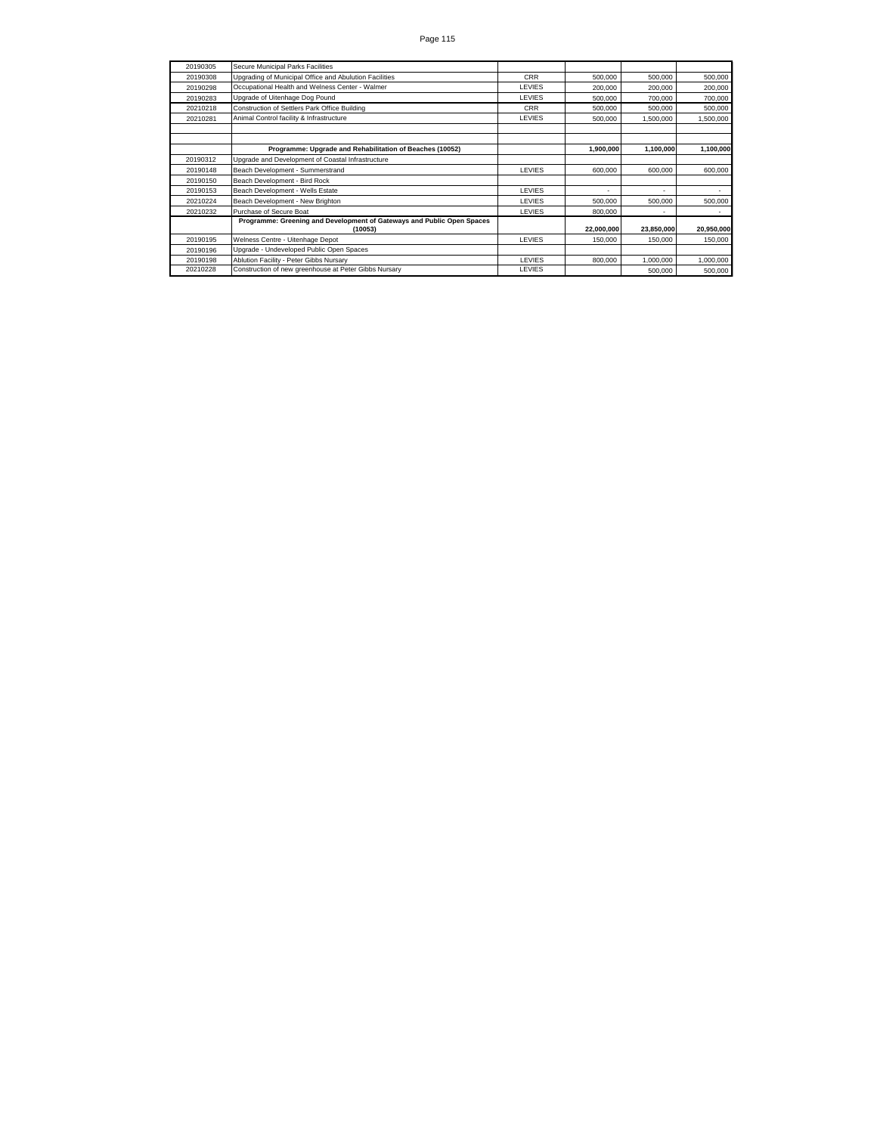| 20190305 | Secure Municipal Parks Facilities                                      |            |            |            |            |
|----------|------------------------------------------------------------------------|------------|------------|------------|------------|
| 20190308 | Upgrading of Municipal Office and Abulution Facilities                 | <b>CRR</b> | 500,000    | 500,000    | 500,000    |
| 20190298 | Occupational Health and Welness Center - Walmer                        | LEVIES     | 200,000    | 200,000    | 200,000    |
| 20190283 | Upgrade of Uitenhage Dog Pound                                         | LEVIES     | 500,000    | 700,000    | 700,000    |
| 20210218 | Construction of Settlers Park Office Building                          | <b>CRR</b> | 500,000    | 500,000    | 500,000    |
| 20210281 | Animal Control facility & Infrastructure                               | LEVIES     | 500,000    | 1,500,000  | 1,500,000  |
|          |                                                                        |            |            |            |            |
|          |                                                                        |            |            |            |            |
|          | Programme: Upgrade and Rehabilitation of Beaches (10052)               |            | 1,900,000  | 1,100,000  | 1,100,000  |
| 20190312 | Upgrade and Development of Coastal Infrastructure                      |            |            |            |            |
| 20190148 | Beach Development - Summerstrand                                       | LEVIES     | 600,000    | 600,000    | 600,000    |
| 20190150 | Beach Development - Bird Rock                                          |            |            |            |            |
| 20190153 | Beach Development - Wells Estate                                       | LEVIES     | ۰          |            |            |
| 20210224 | Beach Development - New Brighton                                       | LEVIES     | 500,000    | 500,000    | 500,000    |
| 20210232 | Purchase of Secure Boat                                                | LEVIES     | 800,000    |            |            |
|          | Programme: Greening and Development of Gateways and Public Open Spaces |            |            |            |            |
|          | (10053)                                                                |            | 22,000,000 | 23,850,000 | 20,950,000 |
| 20190195 | Welness Centre - Uitenhage Depot                                       | LEVIES     | 150,000    | 150,000    | 150,000    |
| 20190196 | Upgrade - Undeveloped Public Open Spaces                               |            |            |            |            |
| 20190198 | Ablution Facility - Peter Gibbs Nursary                                | LEVIES     | 800,000    | 1,000,000  | 1,000,000  |
| 20210228 | Construction of new greenhouse at Peter Gibbs Nursary                  | LEVIES     |            | 500,000    | 500,000    |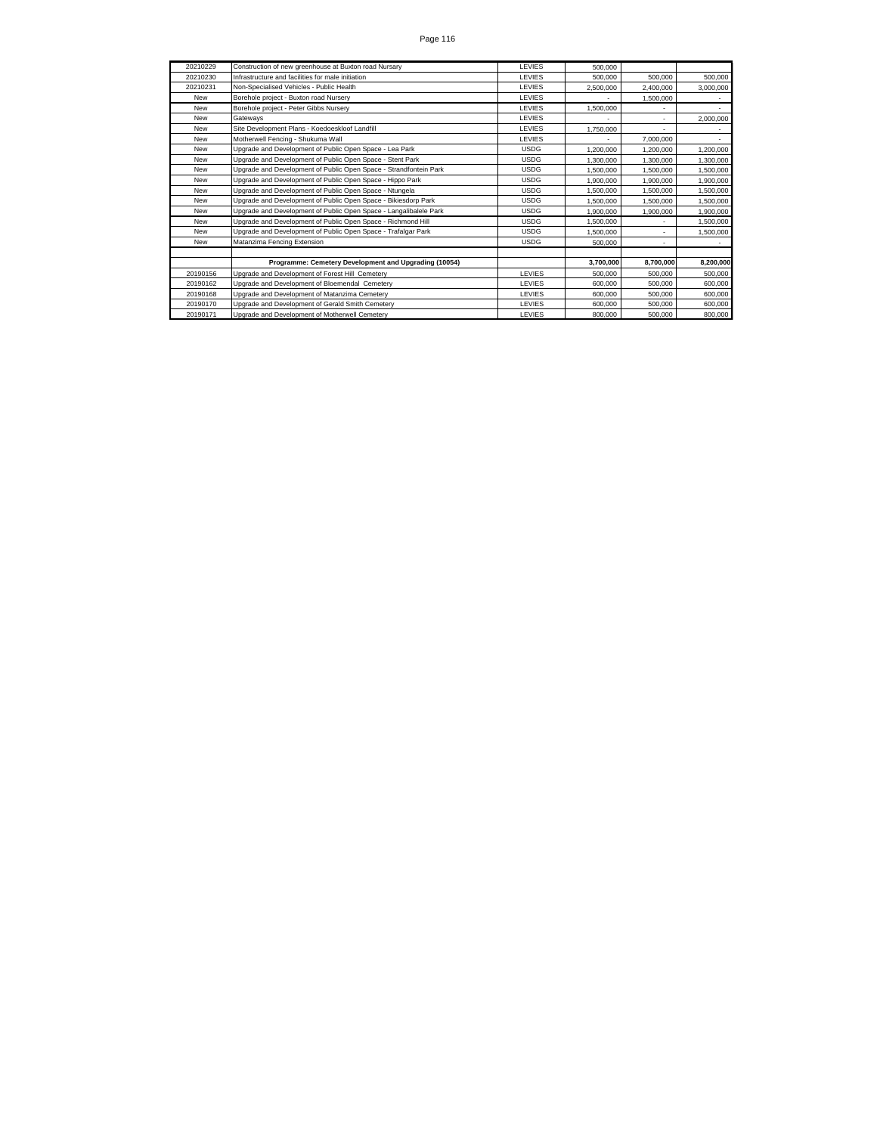| 20210229   | Construction of new greenhouse at Buxton road Nursary             | LEVIES        | 500.000   |           |           |
|------------|-------------------------------------------------------------------|---------------|-----------|-----------|-----------|
| 20210230   | Infrastructure and facilities for male initiation                 | <b>LEVIES</b> | 500.000   | 500.000   | 500,000   |
| 20210231   | Non-Specialised Vehicles - Public Health                          | <b>LEVIES</b> | 2.500.000 | 2.400.000 | 3.000.000 |
| New        | Borehole project - Buxton road Nurserv                            | <b>LEVIES</b> |           | 1.500.000 |           |
| New        | Borehole project - Peter Gibbs Nursery                            | <b>LEVIES</b> | 1.500.000 |           |           |
| New        | Gateways                                                          | <b>LEVIES</b> |           |           | 2.000.000 |
| New        | Site Development Plans - Koedoeskloof Landfill                    | LEVIES        | 1.750.000 |           |           |
| New        | Motherwell Fencing - Shukuma Wall                                 | <b>LEVIES</b> |           | 7.000.000 |           |
| New        | Upgrade and Development of Public Open Space - Lea Park           | <b>USDG</b>   | 1.200.000 | 1.200.000 | 1,200,000 |
| New        | Upgrade and Development of Public Open Space - Stent Park         | <b>USDG</b>   | 1.300.000 | 1.300.000 | 1,300,000 |
| New        | Upgrade and Development of Public Open Space - Strandfontein Park | <b>USDG</b>   | 1.500.000 | 1.500.000 | 1,500,000 |
| New        | Upgrade and Development of Public Open Space - Hippo Park         | <b>USDG</b>   | 1.900.000 | 1.900.000 | 1.900.000 |
| New        | Upgrade and Development of Public Open Space - Ntungela           | <b>USDG</b>   | 1.500.000 | 1.500.000 | 1.500.000 |
| New        | Upgrade and Development of Public Open Space - Bikiesdorp Park    | <b>USDG</b>   | 1.500.000 | 1.500.000 | 1,500,000 |
| New        | Upgrade and Development of Public Open Space - Langalibalele Park | <b>USDG</b>   | 1.900.000 | 1.900.000 | 1,900,000 |
| <b>New</b> | Upgrade and Development of Public Open Space - Richmond Hill      | <b>USDG</b>   | 1.500.000 |           | 1,500,000 |
| New        | Upgrade and Development of Public Open Space - Trafalgar Park     | <b>USDG</b>   | 1.500.000 |           | 1,500,000 |
| New        | Matanzima Fencing Extension                                       | <b>USDG</b>   | 500.000   |           |           |
|            |                                                                   |               |           |           |           |
|            | Programme: Cemetery Development and Upgrading (10054)             |               | 3.700.000 | 8.700.000 | 8,200,000 |
| 20190156   | Upgrade and Development of Forest Hill Cemetery                   | <b>LEVIES</b> | 500.000   | 500.000   | 500,000   |
| 20190162   | Upgrade and Development of Bloemendal Cemetery                    | <b>LEVIES</b> | 600,000   | 500.000   | 600,000   |
| 20190168   | Upgrade and Development of Matanzima Cemetery                     | <b>LEVIES</b> | 600.000   | 500.000   | 600,000   |
| 20190170   | Upgrade and Development of Gerald Smith Cemetery                  | <b>LEVIES</b> | 600,000   | 500.000   | 600,000   |
| 20190171   | Upgrade and Development of Motherwell Cemetery                    | LEVIES        | 800.000   | 500.000   | 800,000   |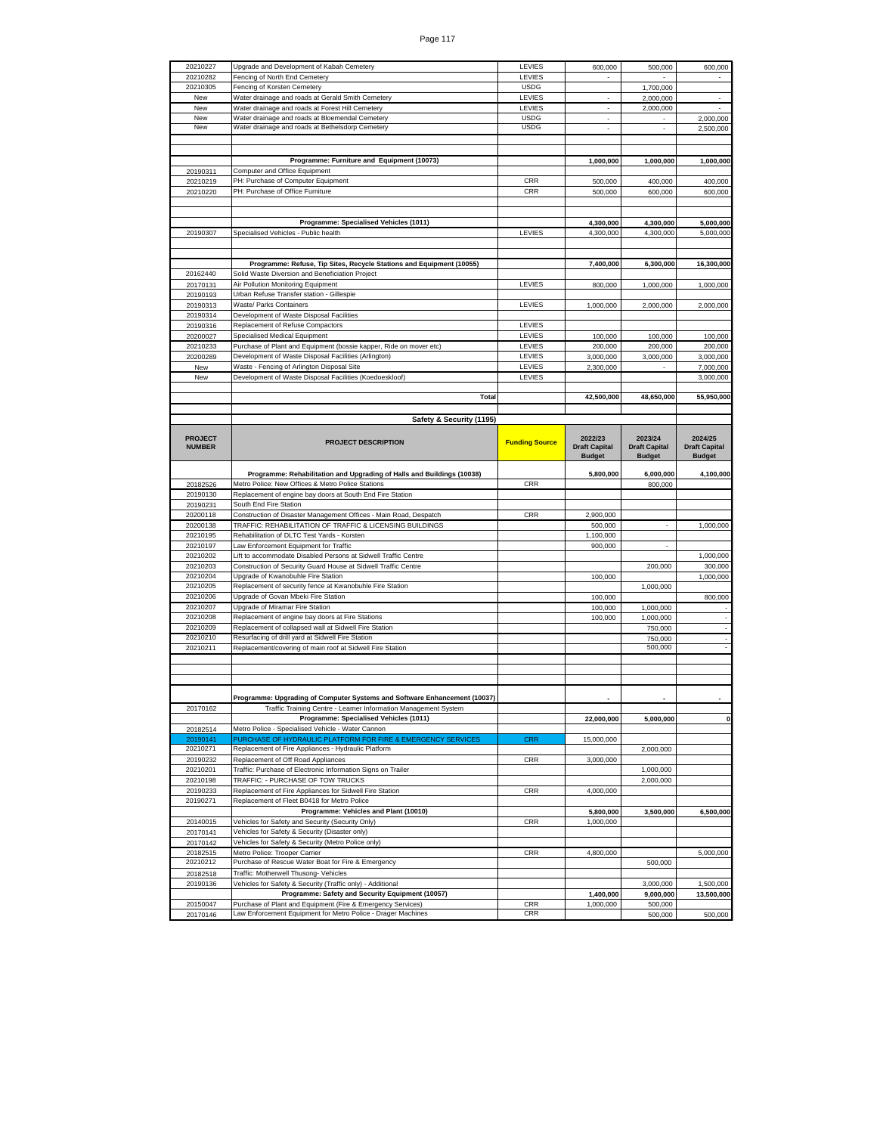| 20210227                        | Upgrade and Development of Kabah Cemetery                                 | LEVIES                | 600,000                                          | 500,000                                          | 600,000                                          |
|---------------------------------|---------------------------------------------------------------------------|-----------------------|--------------------------------------------------|--------------------------------------------------|--------------------------------------------------|
| 20210282                        | Fencing of North End Cemetery                                             | LEVIES                |                                                  |                                                  |                                                  |
|                                 |                                                                           |                       |                                                  |                                                  |                                                  |
| 20210305                        | Fencing of Korsten Cemetery                                               | <b>USDG</b>           |                                                  | 1,700,000                                        |                                                  |
| New                             | Water drainage and roads at Gerald Smith Cemetery                         | LEVIES                | $\overline{\phantom{a}}$                         | 2,000,000                                        | $\blacksquare$                                   |
| New                             | Water drainage and roads at Forest Hill Cemetery                          | LEVIES                |                                                  | 2,000,000                                        |                                                  |
| New                             | Water drainage and roads at Bloemendal Cemetery                           | <b>USDG</b>           |                                                  |                                                  | 2,000,000                                        |
| New                             | Water drainage and roads at Bethelsdorp Cemetery                          | <b>USDG</b>           | ÷                                                | $\overline{\phantom{a}}$                         | 2,500,000                                        |
|                                 |                                                                           |                       |                                                  |                                                  |                                                  |
|                                 |                                                                           |                       |                                                  |                                                  |                                                  |
|                                 |                                                                           |                       |                                                  |                                                  |                                                  |
|                                 | Programme: Furniture and Equipment (10073)                                |                       | 1,000,000                                        | 1,000,000                                        | 1,000,000                                        |
| 20190311                        | Computer and Office Equipment                                             |                       |                                                  |                                                  |                                                  |
| 20210219                        | PH: Purchase of Computer Equipment                                        | <b>CRR</b>            | 500,000                                          | 400,000                                          | 400,000                                          |
| 20210220                        | PH: Purchase of Office Furniture                                          | CRR                   | 500,000                                          | 600,000                                          | 600,000                                          |
|                                 |                                                                           |                       |                                                  |                                                  |                                                  |
|                                 |                                                                           |                       |                                                  |                                                  |                                                  |
|                                 | Programme: Specialised Vehicles (1011)                                    |                       | 4,300,000                                        | 4,300,000                                        | 5,000,000                                        |
| 20190307                        | Specialised Vehicles - Public health                                      | LEVIES                | 4,300,000                                        | 4,300,000                                        | 5,000,000                                        |
|                                 |                                                                           |                       |                                                  |                                                  |                                                  |
|                                 |                                                                           |                       |                                                  |                                                  |                                                  |
|                                 |                                                                           |                       |                                                  |                                                  |                                                  |
|                                 | Programme: Refuse, Tip Sites, Recycle Stations and Equipment (10055)      |                       | 7,400,000                                        | 6,300,000                                        | 16,300,000                                       |
| 20162440                        | Solid Waste Diversion and Beneficiation Project                           |                       |                                                  |                                                  |                                                  |
| 20170131                        | Air Pollution Monitoring Equipment                                        | LEVIES                | 800,000                                          | 1,000,000                                        | 1,000,000                                        |
| 20190193                        | Urban Refuse Transfer station - Gillespie                                 |                       |                                                  |                                                  |                                                  |
| 20190313                        | <b>Waste/ Parks Containers</b>                                            | LEVIES                | 1,000,000                                        | 2,000,000                                        | 2,000,000                                        |
| 20190314                        | Development of Waste Disposal Facilities                                  |                       |                                                  |                                                  |                                                  |
|                                 | Replacement of Refuse Compactors                                          | LEVIES                |                                                  |                                                  |                                                  |
| 20190316                        |                                                                           |                       |                                                  |                                                  |                                                  |
| 20200027                        | Specialised Medical Equipment                                             | LEVIES                | 100,000                                          | 100,000                                          | 100,000                                          |
| 20210233                        | Purchase of Plant and Equipment (bossie kapper, Ride on mover etc)        | LEVIES                | 200,000                                          | 200,000                                          | 200,000                                          |
| 20200289                        | Development of Waste Disposal Facilities (Arlington)                      | LEVIES                | 3,000,000                                        | 3,000,000                                        | 3,000,000                                        |
| New                             | Waste - Fencing of Arlington Disposal Site                                | LEVIES                | 2,300,000                                        |                                                  | 7,000,000                                        |
| New                             | Development of Waste Disposal Facilities (Koedoeskloof)                   | LEVIES                |                                                  |                                                  | 3,000,000                                        |
|                                 |                                                                           |                       |                                                  |                                                  |                                                  |
|                                 | Total                                                                     |                       | 42.500.000                                       | 48,650,000                                       | 55,950,000                                       |
|                                 |                                                                           |                       |                                                  |                                                  |                                                  |
|                                 |                                                                           |                       |                                                  |                                                  |                                                  |
|                                 | Safety & Security (1195)                                                  |                       |                                                  |                                                  |                                                  |
| <b>PROJECT</b><br><b>NUMBER</b> | <b>PROJECT DESCRIPTION</b>                                                | <b>Funding Source</b> | 2022/23<br><b>Draft Capital</b><br><b>Budget</b> | 2023/24<br><b>Draft Capital</b><br><b>Budget</b> | 2024/25<br><b>Draft Capital</b><br><b>Budget</b> |
|                                 |                                                                           |                       |                                                  |                                                  |                                                  |
|                                 | Programme: Rehabilitation and Upgrading of Halls and Buildings (10038)    |                       | 5,800,000                                        | 6,000,000                                        | 4,100,000                                        |
| 20182526                        | Metro Police: New Offices & Metro Police Stations                         | CRR                   |                                                  | 800,000                                          |                                                  |
|                                 |                                                                           |                       |                                                  |                                                  |                                                  |
|                                 |                                                                           |                       |                                                  |                                                  |                                                  |
| 20190130                        | Replacement of engine bay doors at South End Fire Station                 |                       |                                                  |                                                  |                                                  |
| 20190231                        | South End Fire Station                                                    |                       |                                                  |                                                  |                                                  |
| 20200118                        | Construction of Disaster Management Offices - Main Road, Despatch         | CRR                   | 2,900,000                                        |                                                  |                                                  |
| 20200138                        | TRAFFIC: REHABILITATION OF TRAFFIC & LICENSING BUILDINGS                  |                       | 500,000                                          |                                                  | 1,000,000                                        |
| 20210195                        | Rehabilitation of DLTC Test Yards - Korsten                               |                       | 1,100,000                                        |                                                  |                                                  |
| 20210197                        | Law Enforcement Equipment for Traffic                                     |                       | 900,000                                          |                                                  |                                                  |
|                                 |                                                                           |                       |                                                  |                                                  |                                                  |
| 20210202                        | Lift to accommodate Disabled Persons at Sidwell Traffic Centre            |                       |                                                  |                                                  | 1,000,000                                        |
| 20210203                        | Construction of Security Guard House at Sidwell Traffic Centre            |                       |                                                  | 200,000                                          | 300,000                                          |
| 20210204                        | Upgrade of Kwanobuhle Fire Station                                        |                       | 100,000                                          |                                                  | 1,000,000                                        |
| 20210205                        | Replacement of security fence at Kwanobuhle Fire Station                  |                       |                                                  | 1,000,000                                        |                                                  |
| 20210206                        | Upgrade of Govan Mbeki Fire Station                                       |                       | 100,000                                          |                                                  | 800,000                                          |
| 20210207                        | Upgrade of Miramar Fire Station                                           |                       | 100,000                                          | 1,000,000                                        |                                                  |
| 20210208                        | Replacement of engine bay doors at Fire Stations                          |                       | 100,000                                          | 1,000,000                                        |                                                  |
| 20210209                        | Replacement of collapsed wall at Sidwell Fire Station                     |                       |                                                  | 750,000                                          |                                                  |
| 20210210                        | Resurfacing of drill yard at Sidwell Fire Station                         |                       |                                                  | 750,000                                          |                                                  |
| 20210211                        | Replacement/covering of main roof at Sidwell Fire Station                 |                       |                                                  | 500,000                                          |                                                  |
|                                 |                                                                           |                       |                                                  |                                                  |                                                  |
|                                 |                                                                           |                       |                                                  |                                                  |                                                  |
|                                 |                                                                           |                       |                                                  |                                                  |                                                  |
|                                 |                                                                           |                       |                                                  |                                                  |                                                  |
|                                 |                                                                           |                       |                                                  |                                                  |                                                  |
|                                 | Programme: Upgrading of Computer Systems and Software Enhancement (10037) |                       |                                                  |                                                  |                                                  |
| 20170162                        | Traffic Training Centre - Learner Information Management System           |                       |                                                  |                                                  |                                                  |
|                                 | Programme: Specialised Vehicles (1011)                                    |                       | 22,000,000                                       | 5,000,000                                        |                                                  |
| 20182514                        | Metro Police - Specialised Vehicle - Water Cannon                         |                       |                                                  |                                                  |                                                  |
| 20190141                        | PURCHASE OF HYDRAULIC PLATFORM FOR FIRE & EMERGENCY SERVICES              | <b>CRR</b>            | 15,000,000                                       |                                                  |                                                  |
| 20210271                        | Replacement of Fire Appliances - Hydraulic Platform                       |                       |                                                  | 2,000,000                                        |                                                  |
| 20190232                        | Replacement of Off Road Appliances                                        | <b>CRR</b>            | 3.000.000                                        |                                                  |                                                  |
| 20210201                        | Traffic: Purchase of Electronic Information Signs on Trailer              |                       |                                                  | 1,000,000                                        |                                                  |
| 20210198                        | TRAFFIC: - PURCHASE OF TOW TRUCKS                                         |                       |                                                  | 2,000,000                                        |                                                  |
| 20190233                        | Replacement of Fire Appliances for Sidwell Fire Station                   | CRR                   | 4,000,000                                        |                                                  |                                                  |
| 20190271                        | Replacement of Fleet B0418 for Metro Police                               |                       |                                                  |                                                  |                                                  |
|                                 | Programme: Vehicles and Plant (10010)                                     |                       | 5.800.000                                        | 3,500,000                                        | 6,500,000                                        |
|                                 |                                                                           |                       |                                                  |                                                  |                                                  |
| 20140015                        | Vehicles for Safety and Security (Security Only)                          | CRR                   | 1,000,000                                        |                                                  |                                                  |
| 20170141                        | Vehicles for Safety & Security (Disaster only)                            |                       |                                                  |                                                  |                                                  |
| 20170142                        | Vehicles for Safety & Security (Metro Police only)                        |                       |                                                  |                                                  |                                                  |
| 20182515                        | Metro Police: Trooper Carrier                                             | <b>CRR</b>            | 4,800,000                                        |                                                  | 5,000,000                                        |
| 20210212                        | Purchase of Rescue Water Boat for Fire & Emergency                        |                       |                                                  | 500,000                                          |                                                  |
| 20182518                        | Traffic: Motherwell Thusong- Vehicles                                     |                       |                                                  |                                                  |                                                  |
| 20190136                        | Vehicles for Safety & Security (Traffic only) - Additional                |                       |                                                  | 3,000,000                                        | 1,500,000                                        |
|                                 | Programme: Safety and Security Equipment (10057)                          |                       | 1,400,000                                        | 9,000,000                                        | 13,500,000                                       |
|                                 | Purchase of Plant and Equipment (Fire & Emergency Services)               | <b>CRR</b>            |                                                  |                                                  |                                                  |
| 20150047<br>20170146            | Law Enforcement Equipment for Metro Police - Drager Machines              | <b>CRR</b>            | 1,000,000                                        | 500,000<br>500,000                               | 500,000                                          |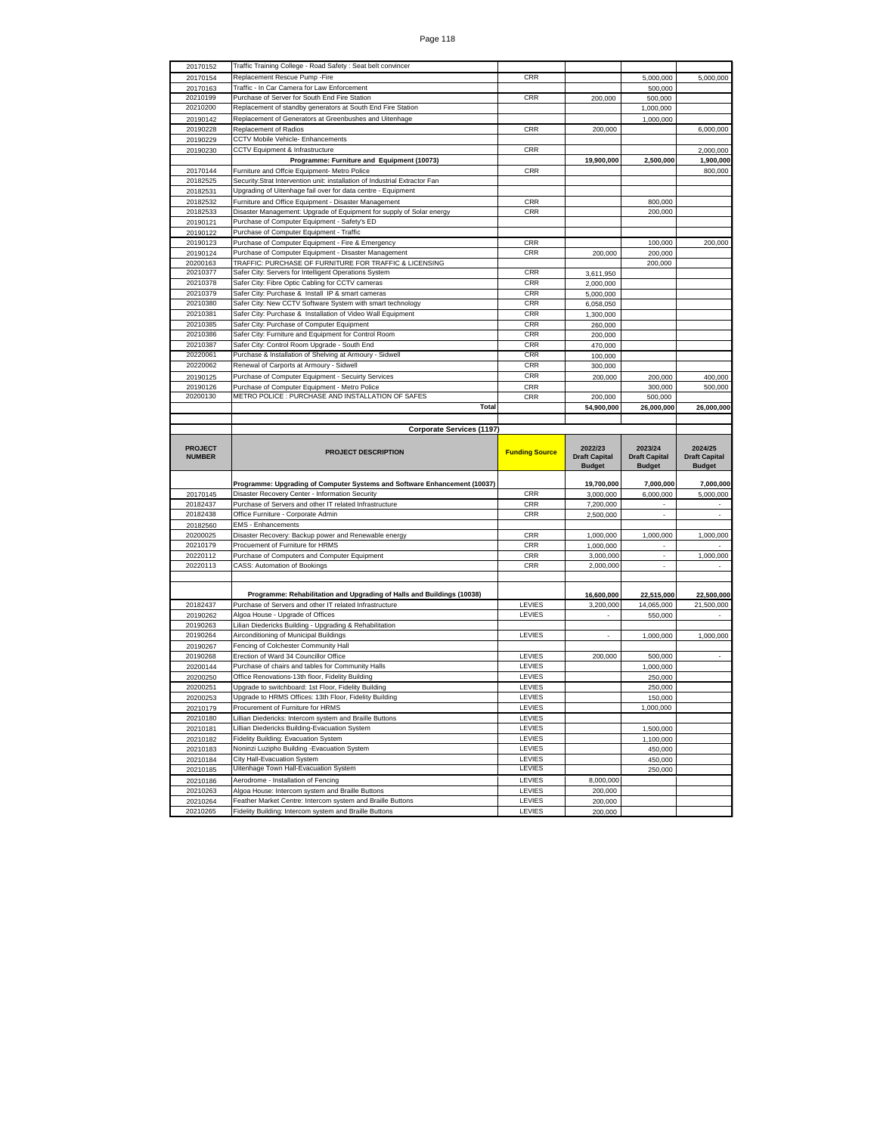| 20170152                        | Traffic Training College - Road Safety: Seat belt convincer                 |                       |                                                  |                                 |                                 |
|---------------------------------|-----------------------------------------------------------------------------|-----------------------|--------------------------------------------------|---------------------------------|---------------------------------|
| 20170154                        | Replacement Rescue Pump - Fire                                              | CRR                   |                                                  | 5.000.000                       | 5,000,000                       |
| 20170163                        | Traffic - In Car Camera for Law Enforcement                                 |                       |                                                  | 500,000                         |                                 |
| 20210199                        | Purchase of Server for South End Fire Station                               | <b>CRR</b>            | 200,000                                          | 500,000                         |                                 |
| 20210200                        | Replacement of standby generators at South End Fire Station                 |                       |                                                  | 1,000,000                       |                                 |
| 20190142                        | Replacement of Generators at Greenbushes and Uitenhage                      |                       |                                                  | 1,000,000                       |                                 |
| 20190228                        | Replacement of Radios                                                       | CRR                   | 200,000                                          |                                 | 6,000,000                       |
|                                 | CCTV Mobile Vehicle- Enhancements                                           |                       |                                                  |                                 |                                 |
| 20190229                        |                                                                             |                       |                                                  |                                 |                                 |
| 20190230                        | CCTV Equipment & Infrastructure                                             | CRR                   |                                                  |                                 | 2,000,000                       |
|                                 | Programme: Furniture and Equipment (10073)                                  |                       | 19,900,000                                       | 2,500,000                       | 1,900,000                       |
| 20170144                        | Furniture and Offcie Equipment- Metro Police                                | CRR                   |                                                  |                                 | 800,000                         |
| 20182525                        | Security: Strat Intervention unit: installation of Industrial Extractor Fan |                       |                                                  |                                 |                                 |
| 20182531                        | Upgrading of Uitenhage fail over for data centre - Equipment                |                       |                                                  |                                 |                                 |
| 20182532                        | Furniture and Office Equipment - Disaster Management                        | <b>CRR</b>            |                                                  | 800,000                         |                                 |
| 20182533                        | Disaster Management: Upgrade of Equipment for supply of Solar energy        | CRR                   |                                                  | 200,000                         |                                 |
| 20190121                        | Purchase of Computer Equipment - Safety's ED                                |                       |                                                  |                                 |                                 |
| 20190122                        | Purchase of Computer Equipment - Traffic                                    |                       |                                                  |                                 |                                 |
| 20190123                        | Purchase of Computer Equipment - Fire & Emergency                           | CRR                   |                                                  | 100,000                         | 200,000                         |
| 20190124                        | Purchase of Computer Equipment - Disaster Management                        | CRR                   | 200,000                                          | 200,000                         |                                 |
| 20200163                        | TRAFFIC: PURCHASE OF FURNITURE FOR TRAFFIC & LICENSING                      |                       |                                                  | 200,000                         |                                 |
| 20210377                        | Safer City: Servers for Intelligent Operations System                       | CRR                   |                                                  |                                 |                                 |
|                                 |                                                                             |                       | 3,611,950                                        |                                 |                                 |
| 20210378                        | Safer City: Fibre Optic Cabling for CCTV cameras                            | CRR                   | 2,000,000                                        |                                 |                                 |
| 20210379                        | Safer City: Purchase & Install IP & smart cameras                           | CRR                   | 5,000,000                                        |                                 |                                 |
| 20210380                        | Safer City: New CCTV Software System with smart technology                  | <b>CRR</b>            | 6,058,050                                        |                                 |                                 |
| 20210381                        | Safer City: Purchase & Installation of Video Wall Equipment                 | CRR                   | 1,300,000                                        |                                 |                                 |
| 20210385                        | Safer City: Purchase of Computer Equipment                                  | <b>CRR</b>            | 260,000                                          |                                 |                                 |
| 20210386                        | Safer City: Furniture and Equipment for Control Room                        | <b>CRR</b>            | 200,000                                          |                                 |                                 |
| 20210387                        | Safer City: Control Room Upgrade - South End                                | CRR                   | 470,000                                          |                                 |                                 |
| 20220061                        | Purchase & Installation of Shelving at Armoury - Sidwell                    | <b>CRR</b>            | 100,000                                          |                                 |                                 |
| 20220062                        | Renewal of Carports at Armoury - Sidwell                                    | CRR                   | 300,000                                          |                                 |                                 |
| 20190125                        | Purchase of Computer Equipment - Secuirty Services                          | <b>CRR</b>            | 200,000                                          | 200,000                         | 400,000                         |
| 20190126                        | Purchase of Computer Equipment - Metro Police                               | CRR                   |                                                  | 300,000                         | 500,000                         |
| 20200130                        | METRO POLICE : PURCHASE AND INSTALLATION OF SAFES                           | CRR                   | 200,000                                          | 500,000                         |                                 |
|                                 | <b>Total</b>                                                                |                       |                                                  |                                 |                                 |
|                                 |                                                                             |                       | 54,900,000                                       | 26,000,000                      | 26,000,000                      |
|                                 |                                                                             |                       |                                                  |                                 |                                 |
|                                 | <b>Corporate Services (1197)</b>                                            |                       |                                                  |                                 |                                 |
|                                 |                                                                             |                       |                                                  |                                 |                                 |
| <b>PROJECT</b><br><b>NUMBER</b> | <b>PROJECT DESCRIPTION</b>                                                  | <b>Funding Source</b> | 2022/23<br><b>Draft Capital</b><br><b>Budget</b> | 2023/24<br><b>Draft Capital</b> | 2024/25<br><b>Draft Capital</b> |
|                                 |                                                                             |                       |                                                  | <b>Budget</b>                   | <b>Budget</b>                   |
|                                 | Programme: Upgrading of Computer Systems and Software Enhancement (10037)   |                       | 19,700,000                                       | 7,000,000                       | 7,000,000                       |
| 20170145                        | Disaster Recovery Center - Information Security                             | CRR                   | 3,000,000                                        | 6,000,000                       | 5,000,000                       |
| 20182437                        | Purchase of Servers and other IT related Infrastructure                     | CRR                   | 7,200,000                                        |                                 |                                 |
| 20182438                        | Office Furniture - Corporate Admin                                          | CRR                   | 2,500,000                                        | $\blacksquare$                  | $\overline{\phantom{a}}$        |
| 20182560                        | <b>EMS</b> - Enhancements                                                   |                       |                                                  |                                 |                                 |
| 20200025                        | Disaster Recovery: Backup power and Renewable energy                        | CRR                   | 1,000,000                                        | 1,000,000                       | 1,000,000                       |
| 20210179                        | Procuement of Furniture for HRMS                                            | CRR                   | 1,000,000                                        | $\blacksquare$                  |                                 |
| 20220112                        | Purchase of Computers and Computer Equipment                                | CRR                   | 3,000,000                                        |                                 | 1,000,000                       |
| 20220113                        | CASS: Automation of Bookings                                                | CRR                   | 2,000,000                                        | $\blacksquare$                  |                                 |
|                                 |                                                                             |                       |                                                  |                                 |                                 |
|                                 |                                                                             |                       |                                                  |                                 |                                 |
|                                 | Programme: Rehabilitation and Upgrading of Halls and Buildings (10038)      |                       | 16,600,000                                       | 22,515,000                      | 22,500,000                      |
| 20182437                        | Purchase of Servers and other IT related Infrastructure                     | LEVIES                | 3,200,000                                        | 14,065,000                      | 21,500,000                      |
| 20190262                        | Algoa House - Upgrade of Offices                                            | LEVIES                |                                                  | 550,000                         |                                 |
| 20190263                        | Lilian Diedericks Building - Upgrading & Rehabilitation                     |                       |                                                  |                                 |                                 |
| 20190264                        | Airconditioning of Municipal Buildings                                      | LEVIES                | $\overline{\phantom{a}}$                         | 1,000,000                       | 1,000,000                       |
| 20190267                        | Fencing of Colchester Community Hall                                        |                       |                                                  |                                 |                                 |
| 20190268                        | Erection of Ward 34 Councillor Office                                       | LEVIES                | 200,000                                          | 500,000                         |                                 |
| 20200144                        | Purchase of chairs and tables for Community Halls                           | LEVIES                |                                                  | 1,000,000                       |                                 |
| 20200250                        | Office Renovations-13th floor, Fidelity Building                            | LEVIES                |                                                  | 250,000                         |                                 |
| 20200251                        | Upgrade to switchboard: 1st Floor, Fidelity Building                        | LEVIES                |                                                  | 250,000                         |                                 |
| 20200253                        | Upgrade to HRMS Offices: 13th Floor, Fidelity Building                      | LEVIES                |                                                  |                                 |                                 |
|                                 |                                                                             |                       |                                                  | 150,000                         |                                 |
| 20210179                        | Procurement of Furniture for HRMS                                           | <b>LEVIES</b>         |                                                  | 1,000,000                       |                                 |
| 20210180                        | Lillian Diedericks: Intercom system and Braille Buttons                     | LEVIES                |                                                  |                                 |                                 |
| 20210181                        | Lillian Diedericks Building-Evacuation System                               | LEVIES                |                                                  | 1,500,000                       |                                 |
| 20210182                        | Fidelity Building: Evacuation System                                        | LEVIES                |                                                  | 1,100,000                       |                                 |
| 20210183                        | Noninzi Luzipho Building - Evacuation System                                | LEVIES                |                                                  | 450,000                         |                                 |
| 20210184                        | City Hall-Evacuation System                                                 | LEVIES                |                                                  | 450,000                         |                                 |
| 20210185                        | Uitenhage Town Hall-Evacuation System                                       | LEVIES                |                                                  | 250,000                         |                                 |
| 20210186                        | Aerodrome - Installation of Fencing                                         | LEVIES                | 8,000,000                                        |                                 |                                 |
| 20210263                        | Algoa House: Intercom system and Braille Buttons                            | LEVIES                | 200,000                                          |                                 |                                 |
| 20210264                        | Feather Market Centre: Intercom system and Braille Buttons                  | LEVIES                | 200,000                                          |                                 |                                 |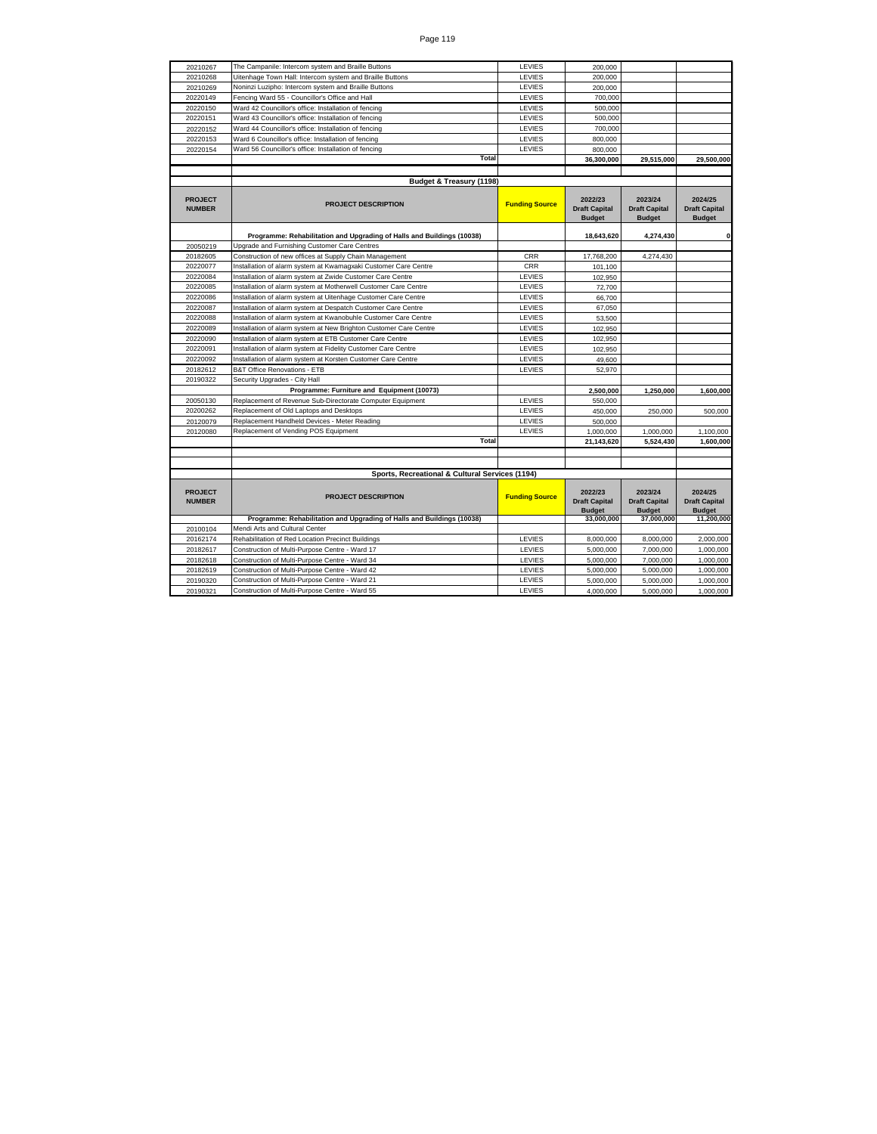| 20210267                        | The Campanile: Intercom system and Braille Buttons                     | LEVIES                | 200,000                                          |                                                  |                                                  |
|---------------------------------|------------------------------------------------------------------------|-----------------------|--------------------------------------------------|--------------------------------------------------|--------------------------------------------------|
| 20210268                        | Uitenhage Town Hall: Intercom system and Braille Buttons               | LEVIES                | 200,000                                          |                                                  |                                                  |
| 20210269                        | Noninzi Luzipho: Intercom system and Braille Buttons                   | LEVIES                | 200,000                                          |                                                  |                                                  |
| 20220149                        | Fencing Ward 55 - Councillor's Office and Hall                         | LEVIES                | 700,000                                          |                                                  |                                                  |
| 20220150                        | Ward 42 Councillor's office: Installation of fencing                   | LEVIES                | 500,000                                          |                                                  |                                                  |
| 20220151                        | Ward 43 Councillor's office: Installation of fencing                   | LEVIES                | 500,000                                          |                                                  |                                                  |
| 20220152                        | Ward 44 Councillor's office: Installation of fencing                   | LEVIES                | 700,000                                          |                                                  |                                                  |
| 20220153                        | Ward 6 Councillor's office: Installation of fencing                    | LEVIES                | 800,000                                          |                                                  |                                                  |
| 20220154                        | Ward 56 Councillor's office: Installation of fencing                   | LEVIES                | 800,000                                          |                                                  |                                                  |
|                                 | Total                                                                  |                       | 36,300,000                                       | 29,515,000                                       | 29,500,000                                       |
|                                 |                                                                        |                       |                                                  |                                                  |                                                  |
|                                 | Budget & Treasury (1198)                                               |                       |                                                  |                                                  |                                                  |
| <b>PROJECT</b><br><b>NUMBER</b> | <b>PROJECT DESCRIPTION</b>                                             | <b>Funding Source</b> | 2022/23<br><b>Draft Capital</b><br><b>Budget</b> | 2023/24<br><b>Draft Capital</b><br><b>Budget</b> | 2024/25<br><b>Draft Capital</b><br><b>Budget</b> |
|                                 | Programme: Rehabilitation and Upgrading of Halls and Buildings (10038) |                       | 18,643,620                                       | 4,274,430                                        | 0                                                |
| 20050219                        | Upgrade and Furnishing Customer Care Centres                           |                       |                                                  |                                                  |                                                  |
| 20182605                        | Construction of new offices at Supply Chain Management                 | <b>CRR</b>            | 17,768,200                                       | 4,274,430                                        |                                                  |
| 20220077                        | Installation of alarm system at Kwamagxaki Customer Care Centre        | <b>CRR</b>            | 101,100                                          |                                                  |                                                  |
| 20220084                        | Installation of alarm system at Zwide Customer Care Centre             | LEVIES                | 102,950                                          |                                                  |                                                  |
| 20220085                        | Installation of alarm system at Motherwell Customer Care Centre        | LEVIES                | 72,700                                           |                                                  |                                                  |
| 20220086                        | Installation of alarm system at Uitenhage Customer Care Centre         | LEVIES                | 66,700                                           |                                                  |                                                  |
| 20220087                        | Installation of alarm system at Despatch Customer Care Centre          | LEVIES                | 67.050                                           |                                                  |                                                  |
| 20220088                        | Installation of alarm system at Kwanobuhle Customer Care Centre        | LEVIES                | 53,500                                           |                                                  |                                                  |
| 20220089                        | Installation of alarm system at New Brighton Customer Care Centre      | LEVIES                | 102,950                                          |                                                  |                                                  |
| 20220090                        | Installation of alarm system at ETB Customer Care Centre               | LEVIES                | 102.950                                          |                                                  |                                                  |
| 20220091                        | Installation of alarm system at Fidelity Customer Care Centre          | LEVIES                | 102,950                                          |                                                  |                                                  |
| 20220092                        | Installation of alarm system at Korsten Customer Care Centre           | LEVIES                | 49,600                                           |                                                  |                                                  |
| 20182612                        | <b>B&amp;T Office Renovations - ETB</b>                                | LEVIES                | 52,970                                           |                                                  |                                                  |
| 20190322                        | Security Upgrades - City Hall                                          |                       |                                                  |                                                  |                                                  |
|                                 | Programme: Furniture and Equipment (10073)                             |                       | 2,500,000                                        | 1,250,000                                        | 1,600,000                                        |
| 20050130                        | Replacement of Revenue Sub-Directorate Computer Equipment              | LEVIES                | 550,000                                          |                                                  |                                                  |
| 20200262                        | Replacement of Old Laptops and Desktops                                | LEVIES                | 450,000                                          | 250,000                                          | 500,000                                          |
| 20120079                        | Replacement Handheld Devices - Meter Reading                           | LEVIES                | 500,000                                          |                                                  |                                                  |
| 20120080                        | Replacement of Vending POS Equipment                                   | LEVIES                | 1,000,000                                        | 1.000.000                                        | 1,100,000                                        |
|                                 | Total                                                                  |                       | 21,143,620                                       | 5,524,430                                        | 1.600.000                                        |
|                                 |                                                                        |                       |                                                  |                                                  |                                                  |
|                                 | Sports, Recreational & Cultural Services (1194)                        |                       |                                                  |                                                  |                                                  |
|                                 |                                                                        |                       |                                                  |                                                  |                                                  |
| <b>PROJECT</b><br><b>NUMBER</b> | <b>PROJECT DESCRIPTION</b>                                             | <b>Funding Source</b> | 2022/23<br><b>Draft Capital</b><br><b>Budget</b> | 2023/24<br><b>Draft Capital</b><br><b>Budget</b> | 2024/25<br><b>Draft Capital</b><br><b>Budget</b> |
|                                 | Programme: Rehabilitation and Upgrading of Halls and Buildings (10038) |                       | 33.000.000                                       | 37,000,000                                       | 11,200,000                                       |
| 20100104                        | Mendi Arts and Cultural Center                                         |                       |                                                  |                                                  |                                                  |
| 20162174                        | Rehabilitation of Red Location Precinct Buildings                      | LEVIES                | 8,000,000                                        | 8,000,000                                        | 2,000,000                                        |
| 20182617                        | Construction of Multi-Purpose Centre - Ward 17                         | LEVIES                | 5,000,000                                        | 7,000,000                                        | 1,000,000                                        |
| 20182618                        | Construction of Multi-Purpose Centre - Ward 34                         | LEVIES                | 5,000,000                                        | 7,000,000                                        | 1,000,000                                        |
| 20182619                        | Construction of Multi-Purpose Centre - Ward 42                         | LEVIES                | 5,000,000                                        | 5,000,000                                        | 1,000,000                                        |
| 20190320                        | Construction of Multi-Purpose Centre - Ward 21                         | LEVIES                | 5,000,000                                        | 5,000,000                                        | 1.000.000                                        |
| 20190321                        | Construction of Multi-Purpose Centre - Ward 55                         | LEVIES                | 4,000,000                                        | 5,000,000                                        | 1,000,000                                        |